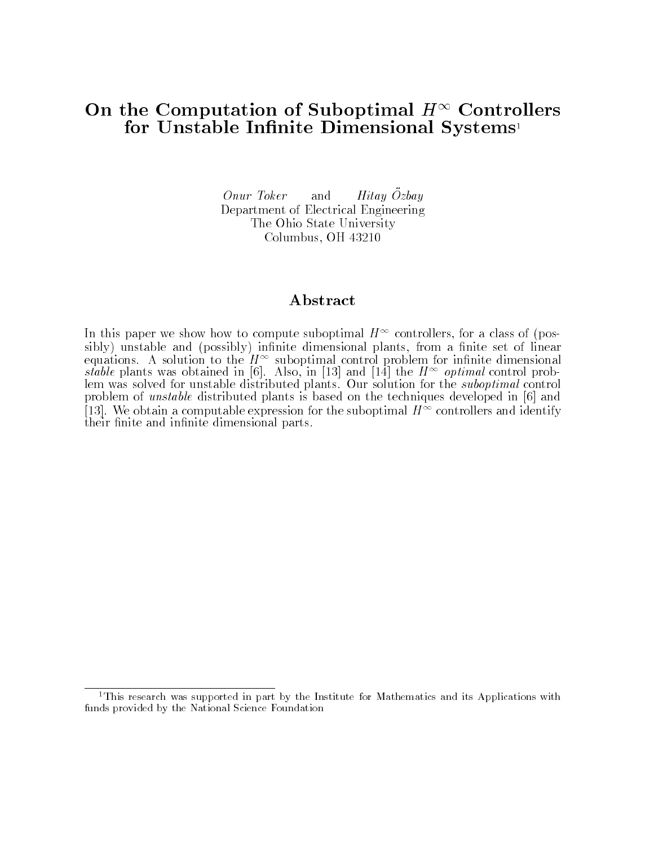# On the Computation of Suboptimal  $H^{\infty}$  Controllers for Unstable Infinite Dimensional Systems<sup>1</sup>

Onur Toker and  $Hitay\ \ddot{O}zbay$ Department of Electrical Engineering The Ohio State University Columbus, OH 43210

#### Abstract

In this paper we show how to compute suboptimal  $H^+$  controllers, for a class of (posequations. A solution to the  $H^{\infty}$  suboptimal control problem for infinite dimensional<br>stable plants was obtained in [6]. Also, in [13] and [14] the  $H^{\infty}$  optimal control problem was solved for unstable distributed plants. Our solution for the suboptimal control problem of unstable distributed plants is based on the techniques developed in [6] and  $[13]$ . We obtain a computable expression for the suboptimal  $H^{++}$  controllers and identify their finite and infinite dimensional parts.

<sup>&</sup>lt;sup>1</sup>This research was supported in part by the Institute for Mathematics and its Applications with funds provided by the National Science Foundation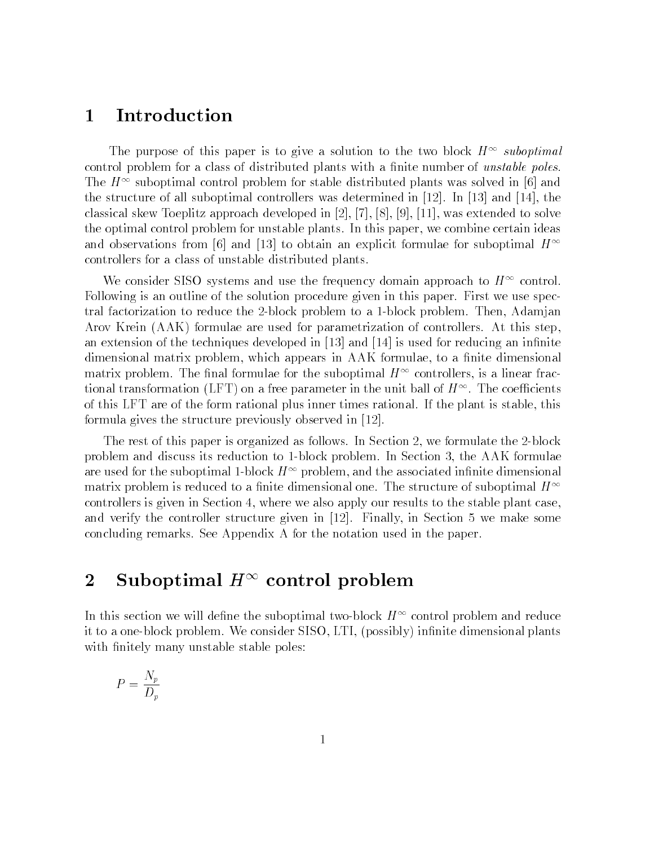# 1 Introduction

The purpose of this paper is to give a solution to the two block  $H^+$  suboptimal control problem for a class of distributed plants with a finite number of *unstable poles*. The  $H^+$  suboptimal control problem for stable distributed plants was solved in [6] and the structure of all suboptimal controllers was determined in [12]. In [13] and [14], the classical skew Toeplitz approach developed in [2], [7], [8], [9], [11], was extended to solve the optimal control problem for unstable plants. In this paper, we combine certain ideas and observations from [6] and [13] to obtain an explicit formulae for suboptimal  $H^{\infty}$ controllers for a class of unstable distributed plants.

We consider SISO systems and use the frequency domain approach to  $H^+$  control. Following is an outline of the solution procedure given in this paper. First we use spectral factorization to reduce the 2-block problem to a 1-block problem. Then, Adamjan Arov Krein (AAK) formulae are used for parametrization of controllers. At this step, an extension of the techniques developed in  $[13]$  and  $[14]$  is used for reducing an infinite dimensional matrix problem, which appears in AAK formulae, to a finite dimensional matrix problem. The inial formulae for the suboptimal  $H^{++}$  controllers, is a linear fractional transformation (LFT) on a free parameter in the unit ball of  $H^{++}$  . The coefficients of this LFT are of the form rational plus inner times rational. If the plant is stable, this formula gives the structure previously observed in [12].

The rest of this paper is organized as follows. In Section 2, we formulate the 2-block problem and discuss its reduction to 1-block problem. In Section 3, the AAK formulae are used for the suboptimal 1-block  $H^{\pm\pm}$  problem, and the associated infinite dimensional  $$ matrix problem is reduced to a finite dimensional one. The structure of suboptimal  $H^{\infty}$ controllers is given in Section 4, where we also apply our results to the stable plant case, and verify the controller structure given in [12]. Finally, in Section 5 we make some concluding remarks. See Appendix A for the notation used in the paper.

# $\mathcal Z$  Suboptimal  $\mathcal H$  control problem

In this section we will define the suboptimal two-block  $H^{\pm\pm}$  control problem and reduce it to a one-block problem. We consider SISO, LTI, (possibly) infinite dimensional plants with finitely many unstable stable poles:

$$
P = \frac{N_p}{D_p}
$$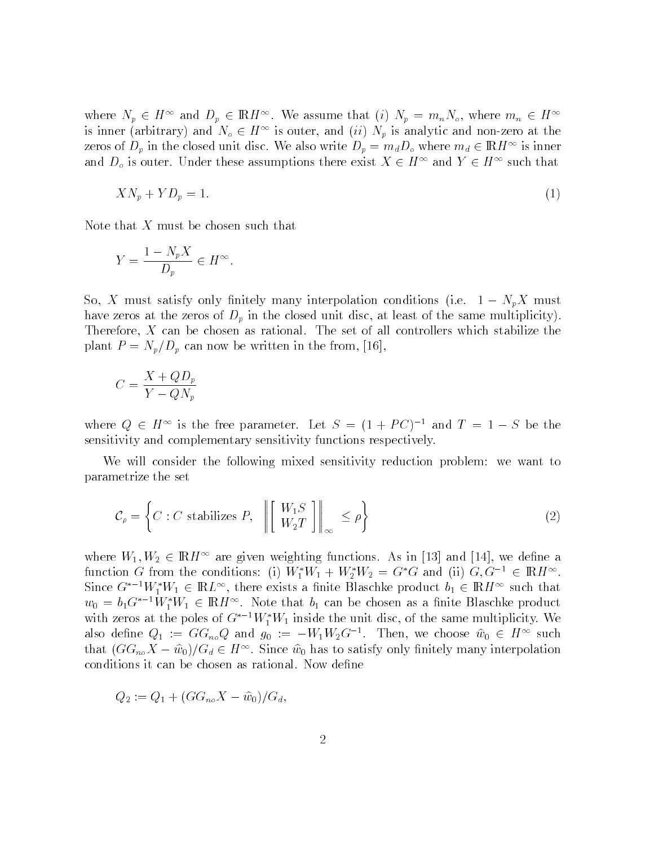where  $N_p \in H^{\perp}$  and  $D_p \in \mathbb{R}$ H<sup>1</sup>. We assume that (i)  $N_p = m_n N_o$ , where  $m_n \in H^{\perp}$ is inner (arbitrary) and  $N_o \in H^{\infty}$  is outer, and  $(ii)$   $N_p$  is analytic and non-zero at the zeros of  $D_p$  in the closed unit disc. We also write  $D_p = m_d D_o$  where  $m_d \in \mathbb{R}$ *H*<sup>11</sup> is inner and  $D_{\rho}$  is outer. Under these assumptions there exist  $A \in H^{\perp}$  and  $Y \in H^{\perp}$  such that

$$
XN_p + YD_p = 1.\t\t(1)
$$

Note that  $X$  must be chosen such that

$$
Y = \frac{1 - N_p X}{D_p} \in H^{\infty}.
$$

 $S$  must satisfy only interpolation condition condition conditions (i.e. 1  $\mu$ have zeros at the zeros of  $D_p$  in the closed unit disc, at least of the same multiplicity). Therefore, X can be chosen as rational. The set of all controllers which stabilize the plant  $P = N_p/D_p$  can now be written in the from, [16],

$$
C = \frac{X + QD_p}{Y - QN_p}
$$

where  $Q \in H^{\infty}$  is the free parameter. Let  $S = (1 + PC)^{-1}$  and  $T = 1 - R$ sensitivity and complementary sensitivity functions respectively.

We will consider the following mixed sensitivity reduction problem: we want to parametrize the set

$$
\mathcal{C}_{\rho} = \left\{ C : C \text{ stabilizes } P, \quad \left\| \begin{bmatrix} W_1 S \\ W_2 T \end{bmatrix} \right\|_{\infty} \le \rho \right\}
$$
\n(2)

where  $w_1, w_2 \in \mathbb{R}$  are given weighting functions. As in [13] and [14], we define a function G from the conditions: (i)  $W_1 W_1 + W_2 W_2 = G$  G and (ii)  $G, G \in \mathbb{R}$   $H^{\infty}$ . Since  $G^{-1}W_1W_1 \in \text{IRL}^{\sim}$ , there exists a finite Blaschke product  $v_1 \in \text{IRH}^{\sim}$  such that  $w_0 = b_1$ G<sup>1</sup>W<sub>1</sub>W<sub>1</sub> E IRH<sup>11</sup>. Note that  $b_1$  can be chosen as a finite Blaschke product with zeros at the poles of  $G^{-1}W_1W_1$  inside the unit disc, of the same multiplicity. We also define  $Q_1 := G G_{n_0} Q$  and  $g_0 := -W_1 W_2 G$ . Then, we choose  $w_0 \in H^{\infty}$  such that  $(\sigma \alpha_{no} A - w_0)/\sigma_d \in H^{\times}$ . Since  $w_0$  has to satisfy only finitely many interpolation conditions it can be chosen as rational. Now define

$$
Q_2 := Q_1 + (GG_{no}X - \hat{w}_0)/G_d,
$$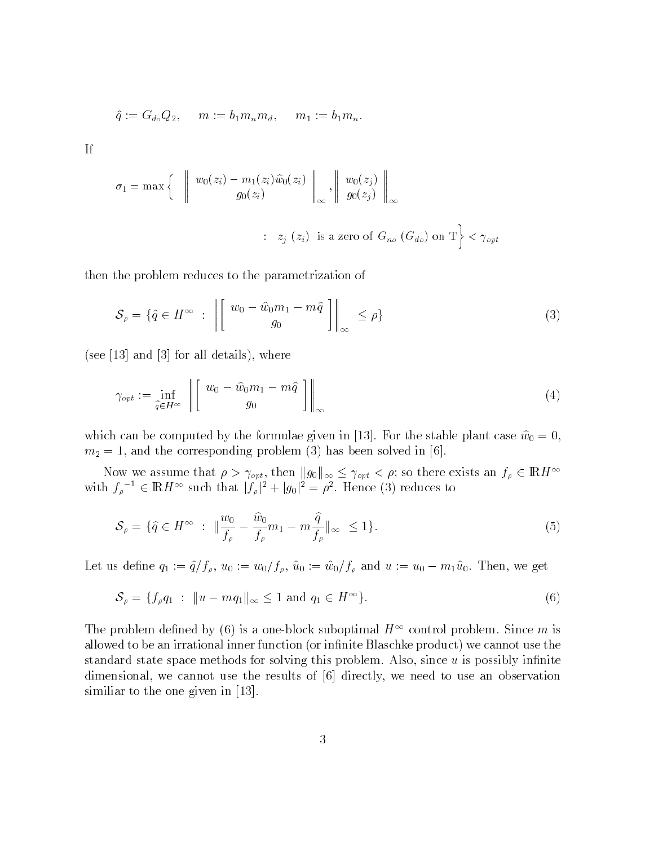$$
\widehat{q} := G_{d_o} Q_2, \quad m := b_1 m_n m_d, \quad m_1 := b_1 m_n.
$$

If

$$
\sigma_1 = \max \left\{ \begin{array}{c} \left\| \begin{array}{c} w_0(z_i) - m_1(z_i)\widehat{w}_0(z_i) \\ g_0(z_i) \end{array} \right\|_{\infty}, \left\| \begin{array}{c} w_0(z_j) \\ g_0(z_j) \end{array} \right\|_{\infty} \\ \vdots \\ z_j \ (z_i) \ \text{is a zero of } G_{no} \ (G_{do}) \text{ on } T \right\} < \gamma_{opt} \end{array}
$$

then the problem reduces to the parametrization of

$$
\mathcal{S}_{\rho} = \{ \hat{q} \in H^{\infty} : \left\| \begin{bmatrix} w_0 - \hat{w}_0 m_1 - m\hat{q} \\ g_0 \end{bmatrix} \right\|_{\infty} \leq \rho \}
$$
\n
$$
(3)
$$

(see [13] and [3] for all details), where

$$
\gamma_{opt} := \inf_{\hat{q} \in H^{\infty}} \left\| \begin{bmatrix} w_0 - \hat{w}_0 m_1 - m\hat{q} \\ g_0 \end{bmatrix} \right\|_{\infty} \tag{4}
$$

which can be computed by the formulae given in [19]. For the stable plant case  $w_0 = 0$ ,  $m_2 = 1$ , and the corresponding problem (3) has been solved in [6].

Now we assume that  $\rho > \gamma_{opt}$ , then  $||g_0||_{\infty} \leq \gamma_{opt} < \rho$ ; so there exists an  $f_{\rho} \in \mathbb{R}$ H<sup>11</sup> with  $f_{\rho} \in \mathbb{R}$   $H^{\infty}$  such that  $|f_{\rho}|^2 + |g_0|^2 = \rho^2$ . Hence (3) reduces to

$$
\mathcal{S}_{\rho} = \{\hat{q} \in H^{\infty} : \ \|\frac{w_0}{f_{\rho}} - \frac{\hat{w}_0}{f_{\rho}} m_1 - m \frac{\hat{q}}{f_{\rho}}\|_{\infty} \le 1\}.
$$
\n
$$
(5)
$$

Let us define  $q_1$ :  $q_f p_f$ , wo: wo; wo; wo; wo; we will wo; we will ment, we get

$$
\mathcal{S}_{\rho} = \{ f_{\rho} q_1 : ||u - mq_1||_{\infty} \le 1 \text{ and } q_1 \in H^{\infty} \}. \tag{6}
$$

The problem defined by (6) is a one-block suboptimal  $H^+$  control problem. Since  $m$  is allowed to be an irrational inner function (or infinite Blaschke product) we cannot use the standard state space methods for solving this problem. Also, since  $u$  is possibly infinite dimensional, we cannot use the results of [6] directly, we need to use an observation similiar to the one given in [13].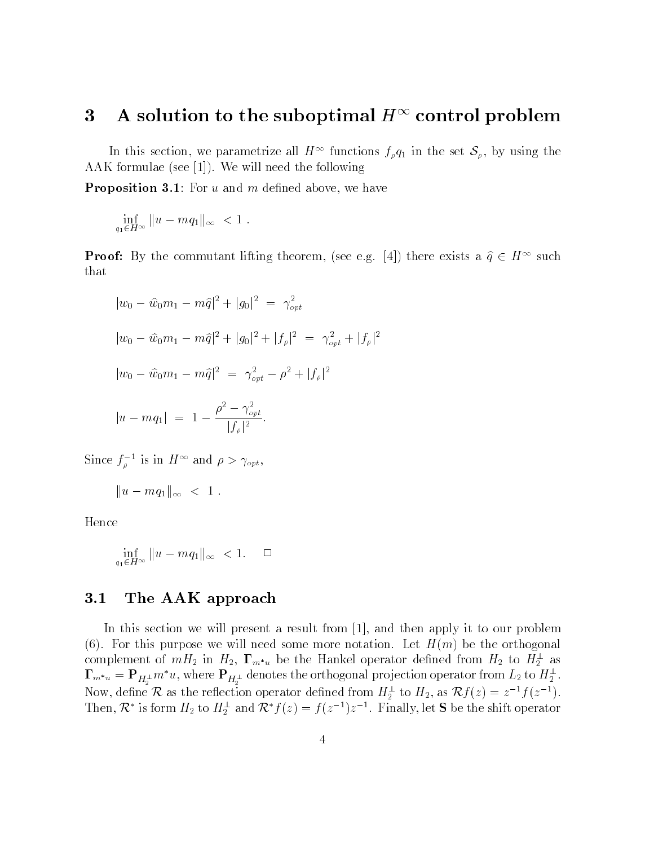#### $3$  A solution to the suboptimal  $H^+$  control problem

In this section, we parametrize all  $H^{\infty}$  functions  $f_{\rho}q_1$  in the set  $\mathcal{S}_{\rho}$ , by using the AAK formulae (see [1]). We will need the following

**Proposition 3.1**: For  $u$  and  $m$  defined above, we have

$$
\inf_{q_1 \in H^\infty} \|u - mq_1\|_\infty < 1.
$$

**Proof:** By the commutant inting theorem, (see e.g. [4]) there exists a  $q \in H^{-1}$  such that

$$
|w_0 - \hat{w}_0 m_1 - m\hat{q}|^2 + |g_0|^2 = \gamma_{opt}^2
$$
  
\n
$$
|w_0 - \hat{w}_0 m_1 - m\hat{q}|^2 + |g_0|^2 + |f_\rho|^2 = \gamma_{opt}^2 + |f_\rho|^2
$$
  
\n
$$
|w_0 - \hat{w}_0 m_1 - m\hat{q}|^2 = \gamma_{opt}^2 - \rho^2 + |f_\rho|^2
$$
  
\n
$$
|u - mq_1| = 1 - \frac{\rho^2 - \gamma_{opt}^2}{|f_\rho|^2}.
$$

Since  $J_{\rho}$  is in  $H^+$  and  $\rho > \gamma_{opt}$ ,

$$
||u - mq_1||_{\infty} < 1.
$$

Hence

$$
\inf_{q_1 \in H^\infty} \|u - mq_1\|_\infty < 1. \quad \Box
$$

#### 3.1 The AAK approach

In this section we will present a result from [1], and then apply it to our problem (6). For this purpose we will need some more notation. Let  $H(m)$  be the orthogonal complement of  $m_2$  in  $H_2$ ,  $\mathbf{1}_{m^*u}$  be the Hankel operator defined from  $H_2$  to  $H_2^-$  as  $\mathbf{I}_{m^*u} = \mathbf{F}_{H_2^\perp} m$  u, where  $\mathbf{F}_{H_2^\perp}$  denotes the orthogonal projection operator from  $L_2$  to  $H_2^\perp$ . Now, define  $\kappa$  as the reflection operator defined from  $H_2^-$  to  $H_2$ , as  $\kappa J(z) = z^{-\epsilon} J(z^{-\epsilon})$ . Then,  $\kappa$  is form  $H_2$  to  $H_2^-$  and  $\kappa$   $f(z) = f(z^{-1})z^{-1}$ . Finally, let S be the shift operator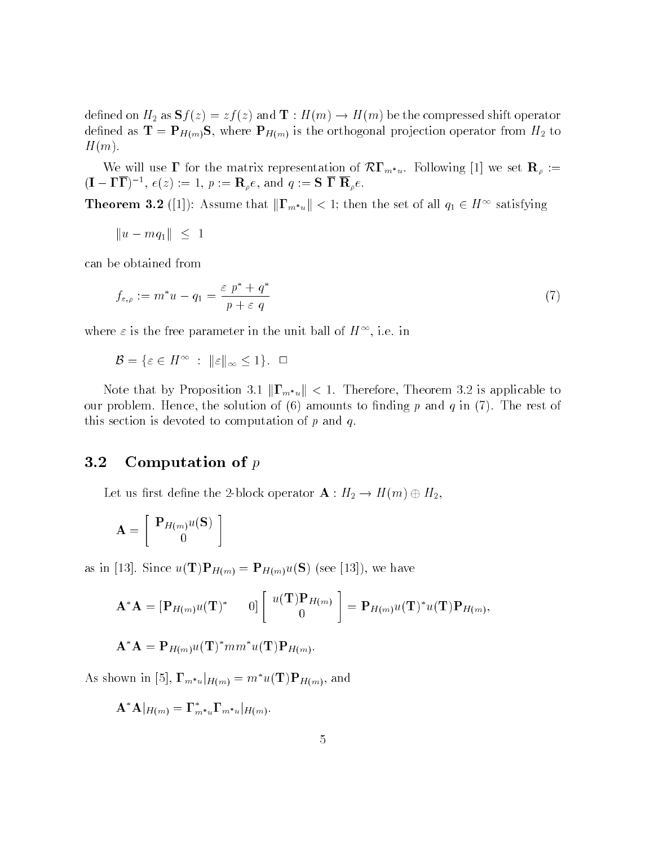dened on H2 as Sf (z) = zf (z) and <sup>T</sup> : H(m) ! H(m) be the compressed shift operator defined as  $\mathbf{T} = \mathbf{P}_{H(m)}\mathbf{S}$ , where  $\mathbf{P}_{H(m)}$  is the orthogonal projection operator from  $H_2$  to  $H(m).$ 

We will use  $\blacktriangle$  for the matrix representation of  $\lambda \blacktriangleright \mathbf{w}$  is to now  $\mathbf{w}_p$ .  $(1 - 11)$ ,  $e(z) := 1$ ,  $p := \mathbf{n}_{\rho}e$ , and  $q := \mathbf{5} \mathbf{1} \mathbf{n}_{\rho}e$ .

**Theorem 3.2** ([1]): Assume that  $||\mathbf{I}_{m^*u}|| \leq 1$ ; then the set of all  $q_1 \in H^{-1}$  satisfying

$$
||u - mq_1|| \leq 1
$$

can be obtained from

$$
f_{\varepsilon,\rho} := m^* u - q_1 = \frac{\varepsilon \ p^* + q^*}{p + \varepsilon \ q} \tag{7}
$$

where  $\varepsilon$  is the free parameter in the unit ball of  $H^{++}$ , i.e. in

$$
\mathcal{B} = \{ \varepsilon \in H^\infty \; : \; \|\varepsilon\|_\infty \le 1 \}. \quad \Box
$$

Note that by Proposition 3.1  $\|\Gamma_{m^*u}\| < 1$ . Therefore, Theorem 3.2 is applicable to our problem. Hence, the solution of  $(6)$  amounts to finding p and q in  $(7)$ . The rest of this section is devoted to computation of  $p$  and  $q$ .

#### 3.2 Computation of <sup>p</sup>

 $\mathbb{L}$  . The 2-block operator of  $\mathbb{L}$  is the 2-block operator  $\mathbb{L}$  : H2  $\mathbb{L}$  is the  $\mathbb{L}$  in  $\mathbb{L}$  is the  $\mathbb{L}$ 

$$
\mathbf{A} = \left[ \begin{array}{c} \mathbf{P}_{H(m)}u(\mathbf{S}) \\ 0 \end{array} \right]
$$

as in [13]. Since  $u(\mathbf{T})\mathbf{P}_{H(m)} = \mathbf{P}_{H(m)}u(\mathbf{S})$  (see [13]), we have

$$
\mathbf{A}^* \mathbf{A} = [\mathbf{P}_{H(m)} u(\mathbf{T})^* \qquad 0] \begin{bmatrix} u(\mathbf{T}) \mathbf{P}_{H(m)} \\ 0 \end{bmatrix} = \mathbf{P}_{H(m)} u(\mathbf{T})^* u(\mathbf{T}) \mathbf{P}_{H(m)},
$$

 $\mathbf{A} \mathbf{A} = \mathbf{P}_{H(m)} u(\mathbf{I}) \; mm \; u(\mathbf{I}) \mathbf{P}_{H(m)}.$ 

As shown in [5],  $\mathbf{\Gamma}_{m^*u}|_{H(m)} = m^*u(\mathbf{T})\mathbf{P}_{H(m)}$ , and

 $\mathbf{A}^*\mathbf{A}\big|_{H(m)} = \mathbf{\Gamma}^*_{m^*u}\mathbf{\Gamma}_{m^*u}\big|_{H(m)}.$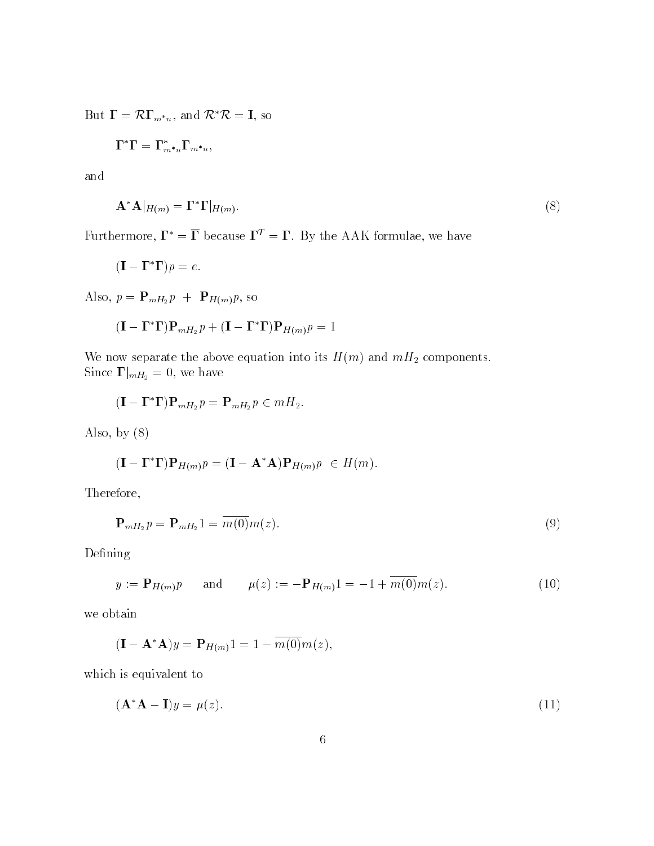$\text{But } \mathbf{I} = \mathcal{K} \mathbf{I}_{m^*u}$ , and  $\mathcal{K} \mathcal{K} = \mathbf{I}$ , so

$$
\Gamma^*\Gamma=\Gamma^*_{m^*u}\Gamma_{m^*u},
$$

and

$$
\mathbf{A}^* \mathbf{A} |_{H(m)} = \mathbf{\Gamma}^* \mathbf{\Gamma} |_{H(m)}.
$$
\n(8)

Furthermore,  $\mathbf{\Gamma}^* = \overline{\mathbf{\Gamma}}$  because  $\mathbf{\Gamma}^T = \mathbf{\Gamma}$ . By the AAK formulae, we have

$$
(\mathbf{I} - \mathbf{\Gamma}^* \mathbf{\Gamma})p = e.
$$

Also,  $p = \mathbf{P}_{mH_2}p + \mathbf{P}_{H(m)}p$ , so

$$
(\mathbf{I} - \mathbf{\Gamma}^* \mathbf{\Gamma}) \mathbf{P}_{mH_2} p + (\mathbf{I} - \mathbf{\Gamma}^* \mathbf{\Gamma}) \mathbf{P}_{H(m)} p = 1
$$

We now separate the above equation into its  $H(m)$  and  $mH_2$  components. Since  $\Gamma|_{mH_2} = 0$ , we have

$$
(\mathbf{I} - \mathbf{\Gamma}^* \mathbf{\Gamma}) \mathbf{P}_{mH_2} p = \mathbf{P}_{mH_2} p \in mH_2.
$$

Also, by (8)

$$
(\mathbf{I} - \mathbf{\Gamma}^* \mathbf{\Gamma}) \mathbf{P}_{H(m)} p = (\mathbf{I} - \mathbf{A}^* \mathbf{A}) \mathbf{P}_{H(m)} p \in H(m)
$$

Therefore,

$$
\mathbf{P}_{mH_2}p = \mathbf{P}_{mH_2}1 = \overline{m(0)}m(z). \tag{9}
$$

Defining

$$
y := \mathbf{P}_{H(m)} p
$$
 and  $\mu(z) := -\mathbf{P}_{H(m)} 1 = -1 + \overline{m(0)} m(z).$  (10)

we obtain

$$
(\mathbf{I} - \mathbf{A}^* \mathbf{A})y = \mathbf{P}_{H(m)}1 = 1 - \overline{m(0)}m(z),
$$

which is equivalent to

$$
(\mathbf{A}^* \mathbf{A} - \mathbf{I})y = \mu(z). \tag{11}
$$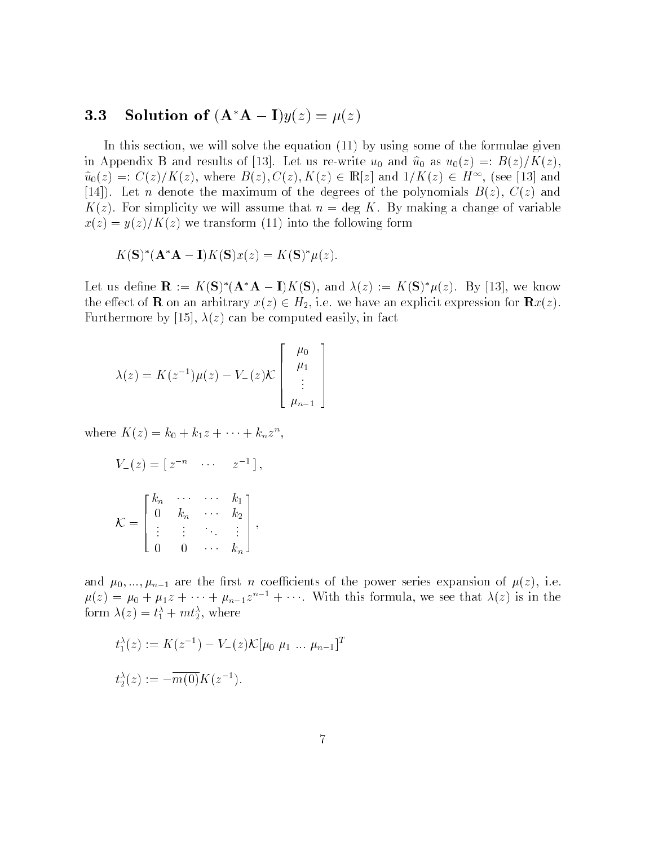#### **3.3** Solution of  $(A^*A - I)y(z) = \mu(z)$

In this section, we will solve the equation (11) by using some of the formulae given In Appendix B and results of  $[15]$ . Here as re-write up and up as  $w_0(x) = E(x)/F(x)$ ,  $u_0(z) =: C(z)/\Lambda(z),$  where  $D(z), C(z), \Lambda(z) \in \mathbb{R}[z]$  and  $1/\Lambda(z) \in H^{\infty}$ , (see [13] and [14]). Let *n* denote the maximum of the degrees of the polynomials  $B(z)$ ,  $C(z)$  and  $K(z)$ . For simplicity we will assume that  $n = \deg K$ . By making a change of variable  $x(z) = y(z)/K(z)$  we transform (11) into the following form

$$
K(\mathbf{S})^*(\mathbf{A}^*\mathbf{A}-\mathbf{I})K(\mathbf{S})x(z)=K(\mathbf{S})^*\mu(z).
$$

Let us define  $\mathbf{R} := K(\mathbf{S})$  ( $\mathbf{A} \mathbf{A} - \mathbf{I}$ ) $K(\mathbf{S})$ , and  $\lambda(z) := K(\mathbf{S}) \mu(z)$ . By [13], we know the extended  $\mathbf{r}$  on an arbitrary  $\mathbf{r}(\cdot)$  2 Hz, i.e. we have an explicit explicit explicit explicit  $\mathbf{r}(\cdot)$ . Furthermore by [15],  $\lambda(z)$  can be computed easily, in fact

$$
\lambda(z) = K(z^{-1})\mu(z) - V_{-}(z)\mathcal{K}\begin{bmatrix} \mu_0 \\ \mu_1 \\ \vdots \\ \mu_{n-1} \end{bmatrix}
$$

where  $\Lambda(z) = \kappa_0 + \kappa_1 z + \cdots + \kappa_n z^n$ ,

$$
V_{-}(z) = \begin{bmatrix} z^{-n} & \cdots & z^{-1} \end{bmatrix},
$$
\n
$$
\mathcal{K} = \begin{bmatrix} k_n & \cdots & \cdots & k_1 \\ 0 & k_n & \cdots & k_2 \\ \vdots & \vdots & \ddots & \vdots \\ 0 & 0 & \cdots & k_n \end{bmatrix},
$$

and  $\mu_0, \ldots, \mu_{n-1}$  are the first n coefficients of the power series expansion of  $\mu(z)$ , i.e.  $\mu(z) = \mu_0 + \mu_1 z + \cdots + \mu_{n-1} z^{n-1} + \cdots$  with this formula, we see that  $\lambda(z)$  is in the form  $\lambda(z) = t_1 + m t_2$ , where

$$
t_1^{\lambda}(z) := K(z^{-1}) - V_{-}(z) \mathcal{K}[\mu_0 \mu_1 \dots \mu_{n-1}]^T
$$
  

$$
t_2^{\lambda}(z) := -\overline{m(0)} K(z^{-1}).
$$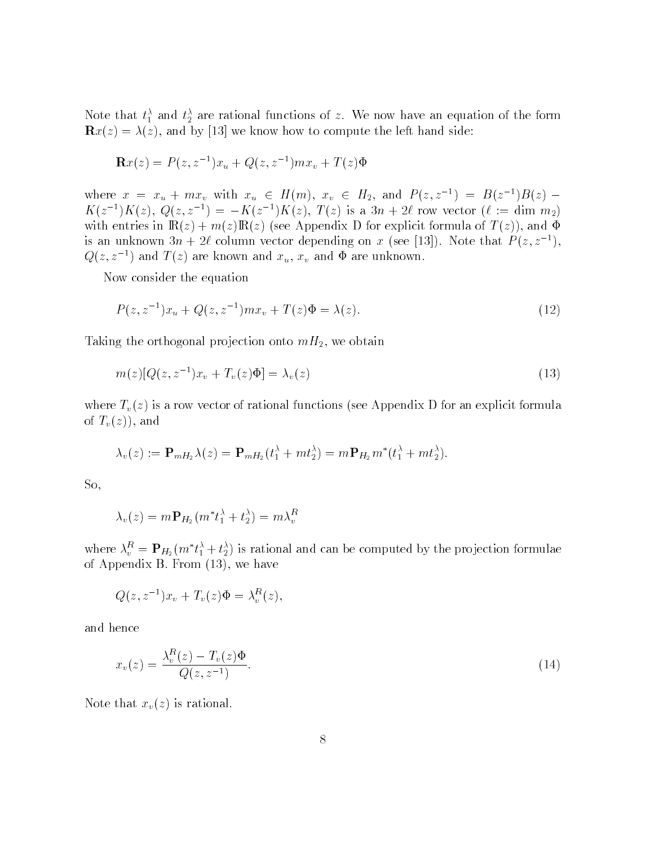Note that  $t_1^+$  and  $t_2^+$  are rational functions of z. We now have an equation of the form  $\mathbf{R}x(z) = \lambda(z)$ , and by [13] we know how to compute the left hand side:

$$
\mathbf{R}x(z) = P(z, z^{-1})x_u + Q(z, z^{-1})mx_v + T(z)\Phi
$$

where  $x = x_u + mx_v$  with  $x_u \in H(m)$ ,  $x_v \in H_2$ , and  $P(z, z^-) = D(z^-)D(z)$  $K(z^{-1})K(z), \ Q(z, z^{-1}) = -K(z^{-1})K(z), I(z)$  is a  $3n + 2\ell$  row vector  $(\ell := \text{dim } m_2)$ with entries in  $\mathbb{R}(z) + m(z)\mathbb{R}(z)$  (see Appendix D for explicit formula of  $T(z)$ ), and  $\Phi$ is an unknown  $3n + 2\ell$  column vector depending on x (see [13]). Note that  $P(z, z^{-1})$ ,  $Q(z, z^{-1})$  and  $T(z)$  are known and  $x_u, x_v$  and  $\Phi$  are unknown.

Now consider the equation

$$
P(z, z^{-1})x_u + Q(z, z^{-1})mx_v + T(z)\Phi = \lambda(z).
$$
\n(12)

Taking the orthogonal projection onto  $mH_2$ , we obtain

$$
m(z)[Q(z, z^{-1})x_v + T_v(z)\Phi] = \lambda_v(z)
$$
\n
$$
(13)
$$

where  $T_v(z)$  is a row vector of rational functions (see Appendix D for an explicit formula of  $T_v(z)$ , and

$$
\lambda_v(z) := \mathbf{P}_{mH_2} \lambda(z) = \mathbf{P}_{mH_2} (t_1^{\lambda} + m t_2^{\lambda}) = m \mathbf{P}_{H_2} m^* (t_1^{\lambda} + m t_2^{\lambda}).
$$

So,

$$
\lambda_v(z)=m\mathbf{P}_{H_2}(m^*t_1^{\lambda}+t_2^{\lambda})=m\lambda_v^R
$$

where  $\lambda_v^+ = \mathbf{F}_{H_2}(m_t^+ + t_2^-)$  is rational and can be computed by the projection formulae of Appendix B. From (13), we have

$$
Q(z, z^{-1})x_v + T_v(z)\Phi = \lambda_v^R(z),
$$

and hence

$$
x_v(z) = \frac{\lambda_v^R(z) - T_v(z)\Phi}{Q(z, z^{-1})}.
$$
\n(14)

Note that  $x_v(z)$  is rational.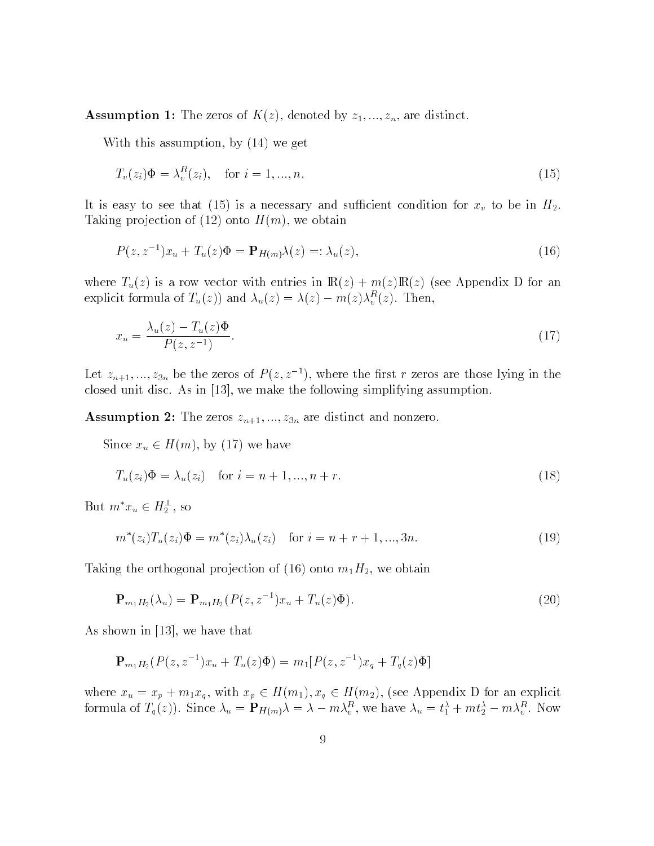**Assumption 1:** The zeros of  $K(z)$ , denoted by  $z_1, ..., z_n$ , are distinct.

With this assumption, by (14) we get

$$
T_v(z_i)\Phi = \lambda_v^R(z_i), \quad \text{for } i = 1, \dots, n. \tag{15}
$$

It is easy to see that (15) is a necessary and sufficient condition for  $x_v$  to be in  $H_2$ . Taking projection of (12) onto  $H(m)$ , we obtain

$$
P(z, z^{-1})x_u + T_u(z)\Phi = \mathbf{P}_{H(m)}\lambda(z) =: \lambda_u(z),\tag{16}
$$

where  $T_u(z)$  is a row vector with entries in  $\mathbb{R}(z) + m(z)\mathbb{R}(z)$  (see Appendix D for an explicit formula of  $T_u(z)$  and  $\lambda_u(z) = \lambda(z) - m(z) \lambda_v^2(z)$ . Then,

$$
x_u = \frac{\lambda_u(z) - T_u(z)\Phi}{P(z, z^{-1})}.
$$
\n(17)

Let  $z_{n+1},..., z_{3n}$  be the zeros of  $P(z, z^{-1})$ , where the first r zeros are those lying in the closed unit disc. As in [13], we make the following simplifying assumption.

**Assumption 2:** The zeros  $z_{n+1},..., z_{3n}$  are distinct and nonzero.

Since xu 2 H(m), by (17) we have

$$
T_u(z_i)\Phi = \lambda_u(z_i) \text{ for } i = n+1, ..., n+r.
$$
 (18)

But  $m x_u \in H_2^{\sim}$ , so

$$
m^*(z_i)T_u(z_i)\Phi = m^*(z_i)\lambda_u(z_i) \quad \text{for } i = n + r + 1, ..., 3n.
$$
 (19)

Taking the orthogonal projection of (16) onto  $m_1H_2$ , we obtain

$$
\mathbf{P}_{m_1H_2}(\lambda_u) = \mathbf{P}_{m_1H_2}(P(z, z^{-1})x_u + T_u(z)\Phi). \tag{20}
$$

As shown in [13], we have that

$$
\mathbf{P}_{m_1H_2}(P(z, z^{-1})x_u + T_u(z)\Phi) = m_1[P(z, z^{-1})x_q + T_q(z)\Phi]
$$

where  $\mu$  is not p  $\mu$  and  $\mu$  and  $\mu$  and  $\mu$  and  $\mu$  for an explicit  $\mu$  for an explicit  $\mu$  for an explicit  $\mu$  for an explicit  $\mu$  for an explicit  $\mu$  for an explicit  $\mu$  for an explicit  $\mu$  for an explic formula of  $T_q(z)$ ). Since  $\lambda_u = \mathbf{F} H(m) \lambda = \lambda - m \lambda_v^2$ , we have  $\lambda_u = t_1^2 + m t_2^2 - m \lambda_v^2$ . Now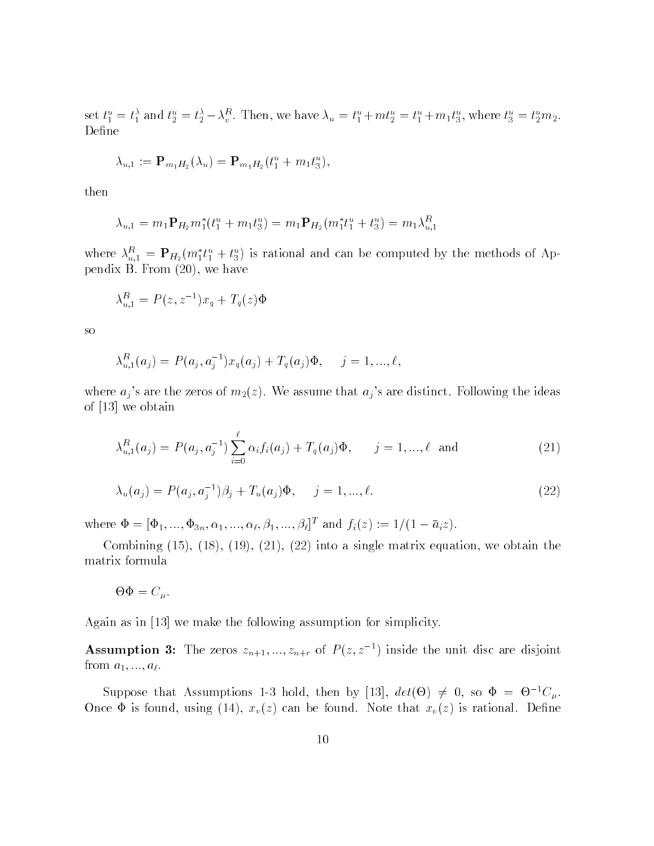set  $t_1 = t_1$  and  $t_2 = t_2 - \lambda_v$ . Then, we have  $\lambda_u = t_1 + m_2 = t_1 + m_1t_3$ , where  $t_3 = t_2m_2$ . Define

$$
\lambda_{u,1} := \mathbf{P}_{m_1H_2}(\lambda_u) = \mathbf{P}_{m_1H_2}(t_1^u + m_1t_3^u),
$$

then

$$
\lambda_{u,1} = m_1 \mathbf{P}_{H_2} m_1^*(t_1^u + m_1 t_3^u) = m_1 \mathbf{P}_{H_2} (m_1^* t_1^u + t_3^u) = m_1 \lambda_{u,1}^R
$$

where  $\lambda_{u,1}^u = \mathbf{r}_{H_2}(m_1\iota_1 + \iota_3^u)$  is rational and can be computed by the methods of Appendix B. From (20), we have

$$
\lambda_{u,1}^R = P(z, z^{-1})x_q + T_q(z)\Phi
$$

so

$$
\lambda_{u,1}^R(a_j) = P(a_j, a_j^{-1})x_q(a_j) + T_q(a_j)\Phi, \quad j = 1, ..., \ell,
$$

where  $a_j$ 's are the zeros of  $m_2(z)$ . We assume that  $a_j$ 's are distinct. Following the ideas of [13] we obtain

$$
\lambda_{u,1}^R(a_j) = P(a_j, a_j^{-1}) \sum_{i=0}^{\ell} \alpha_i f_i(a_j) + T_q(a_j) \Phi, \qquad j = 1, ..., \ell \text{ and } (21)
$$

$$
\lambda_u(a_j) = P(a_j, a_j^{-1})\beta_j + T_u(a_j)\Phi, \quad j = 1, ..., \ell.
$$
 (22)

where  $\Psi = [\Psi_1, ..., \Psi_{3n}, \alpha_1, ..., \alpha_\ell, \beta_1, ..., \beta_\ell]^T$  and  $f_i(z) := 1/(1 - a_i z)$ .

Combining  $(15)$ ,  $(18)$ ,  $(19)$ ,  $(21)$ ,  $(22)$  into a single matrix equation, we obtain the matrix formula

$$
\Theta \Phi = C_{\mu}.
$$

Again as in [13] we make the following assumption for simplicity.

**Assumption 3:** The zeros  $z_{n+1},..., z_{n+r}$  of  $P(z, z^{-1})$  inside the unit disc are disjoint from  $a_1, ..., a_\ell$ .

Suppose that Assumptions 1-3 hold, then by [13],  $\det(\Theta) \neq 0$ , so  $\Psi = \Theta^{-1}C_{\mu}$ . Once  $\Phi$  is found, using (14),  $x_v(z)$  can be found. Note that  $x_v(z)$  is rational. Define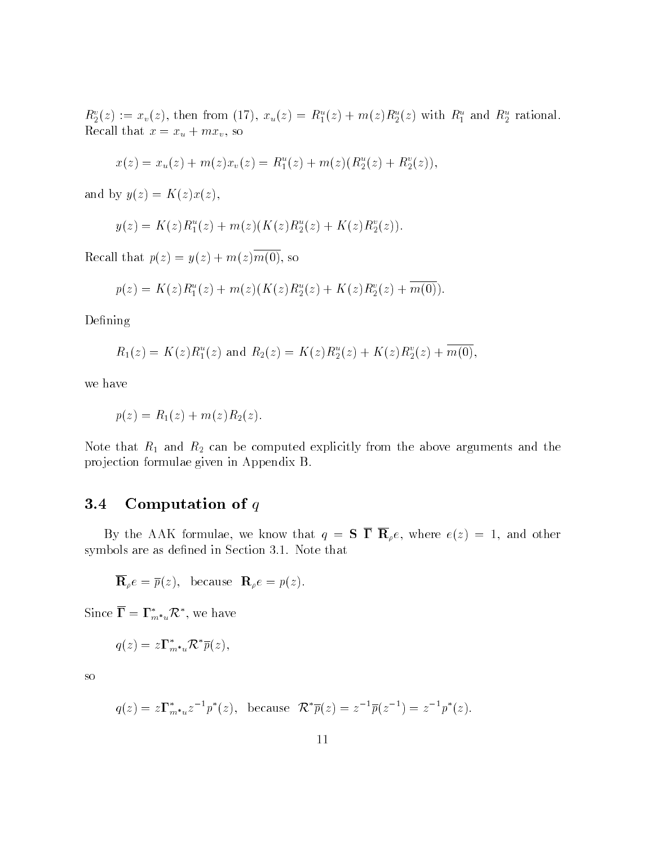$R_2(z) := x_v(z)$ , then from (17),  $x_u(z) = R_1(z) + m(z)R_2(z)$  with  $R_1$  and  $R_2$  rational. Recall that  $x = x_u + mx_v$ , so

$$
x(z) = x_u(z) + m(z)x_v(z) = R_1^u(z) + m(z)(R_2^u(z) + R_2^v(z)),
$$

and by  $y(z) = K(z)x(z)$ ,

$$
y(z) = K(z)R_1^u(z) + m(z)(K(z)R_2^u(z) + K(z)R_2^v(z)).
$$

Recall that  $p(z) = y(z) + m(z)\overline{m(0)}$ , so

$$
p(z) = K(z)R_1^u(z) + m(z)(K(z)R_2^u(z) + K(z)R_2^v(z) + \overline{m(0)}).
$$

Defining

$$
R_1(z) = K(z)R_1^u(z)
$$
 and  $R_2(z) = K(z)R_2^u(z) + K(z)R_2^v(z) + \overline{m(0)}$ ,

we have

$$
p(z) = R_1(z) + m(z)R_2(z).
$$

Note that  $R_1$  and  $R_2$  can be computed explicitly from the above arguments and the projection formulae given in Appendix B.

#### 3.4 Computation of  $q$

By the AAK formulae, we know that  $q = S \overline{\Gamma} \overline{R}_{\rho} e$ , where  $e(z) = 1$ , and other symbols are as defined in Section 3.1. Note that

$$
\overline{\mathbf{R}}_{\rho}e = \overline{p}(z), \text{ because } \mathbf{R}_{\rho}e = p(z).
$$

Since  $\mathbf{I} = \mathbf{I}_{m^*u} \mathcal{K}$  , we have

$$
q(z) = z \mathbf{\Gamma}_{m^* u}^* \mathcal{R}^* \overline{p}(z),
$$

so

$$
q(z) = z\Gamma_{m^*u}^* z^{-1} p^*(z)
$$
, because  $\mathcal{R}^* \overline{p}(z) = z^{-1} \overline{p}(z^{-1}) = z^{-1} p^*(z)$ .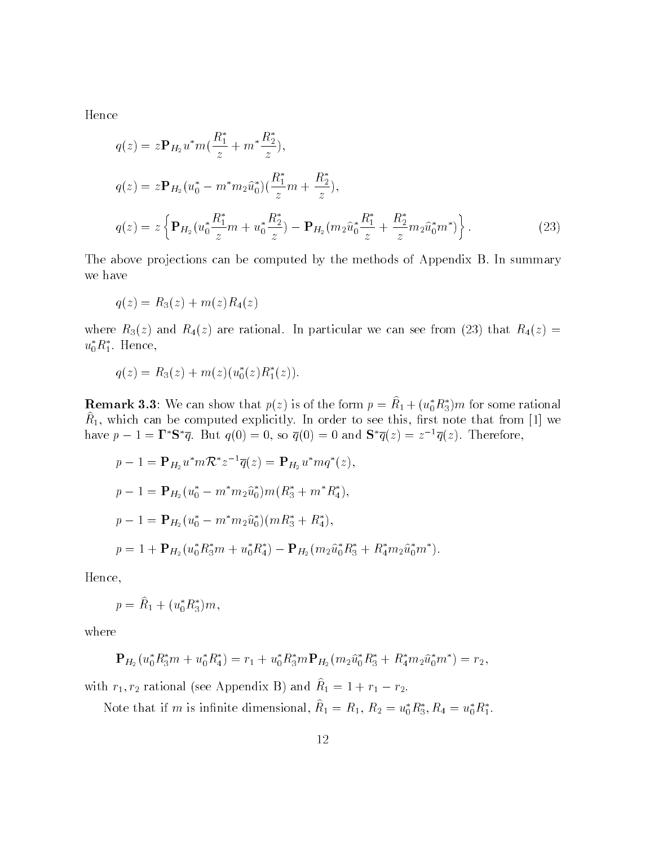Hence

$$
q(z) = z \mathbf{P}_{H_2} u^* m \left( \frac{R_1^*}{z} + m^* \frac{R_2^*}{z} \right),
$$
  
\n
$$
q(z) = z \mathbf{P}_{H_2} (u_0^* - m^* m_2 \hat{u}_0^*) \left( \frac{R_1^*}{z} m + \frac{R_2^*}{z} \right),
$$
  
\n
$$
q(z) = z \left\{ \mathbf{P}_{H_2} (u_0^* \frac{R_1^*}{z} m + u_0^* \frac{R_2^*}{z}) - \mathbf{P}_{H_2} (m_2 \hat{u}_0^* \frac{R_1^*}{z} + \frac{R_2^*}{z} m_2 \hat{u}_0^* m^*) \right\}.
$$
\n(23)

The above projections can be computed by the methods of Appendix B. In summary we have

$$
q(z) = R_3(z) + m(z)R_4(z)
$$

where  $R_3(z)$  and  $R_4(z)$  are rational. In particular we can see from (23) that  $R_4(z)$  =  $u_0$  $n_1$ . пепсе,

$$
q(z) = R_3(z) + m(z) (u_0^*(z) R_1^*(z)).
$$

**Remark 3.3:** We can show that  $p(z)$  is of the form  $p = R_1 + (u_0 R_3) m$  for some rational  $n_1$ , which can be computed explicitly. In order to see this, hist note that from [1] we  $\blacksquare$ have  $p - 1 = 1$  S q. But  $q(0) = 0$ , so  $q(0) = 0$  and S  $q(z) = z^{-1}q(z)$ . Therefore,

$$
p - 1 = \mathbf{P}_{H_2} u^* m \mathcal{R}^* z^{-1} \overline{q}(z) = \mathbf{P}_{H_2} u^* m q^*(z),
$$
  
\n
$$
p - 1 = \mathbf{P}_{H_2} (u_0^* - m^* m_2 \hat{u}_0^*) m (R_3^* + m^* R_4^*),
$$
  
\n
$$
p - 1 = \mathbf{P}_{H_2} (u_0^* - m^* m_2 \hat{u}_0^*) (m R_3^* + R_4^*),
$$
  
\n
$$
p = 1 + \mathbf{P}_{H_2} (u_0^* R_3^* m + u_0^* R_4^*) - \mathbf{P}_{H_2} (m_2 \hat{u}_0^* R_3^* + R_4^* m_2 \hat{u}_0^* m^*).
$$

Hence,

$$
p = \hat{R}_1 + (u_0^* R_3^*) m,
$$

where

$$
\mathbf{P}_{H_2}(u_0^* R_3^* m + u_0^* R_4^*) = r_1 + u_0^* R_3^* m \mathbf{P}_{H_2}(m_2 \hat{u}_0^* R_3^* + R_4^* m_2 \hat{u}_0^* m^*) = r_2,
$$

with  $r_1, r_2$  rational (see Appendix B) and  $n_1 = 1 + r_1 - r_2$ .

Note that if m is immute dimensional,  $R_1 = R_1, R_2 = u_0 R_3, R_4 = u_0 R_1.$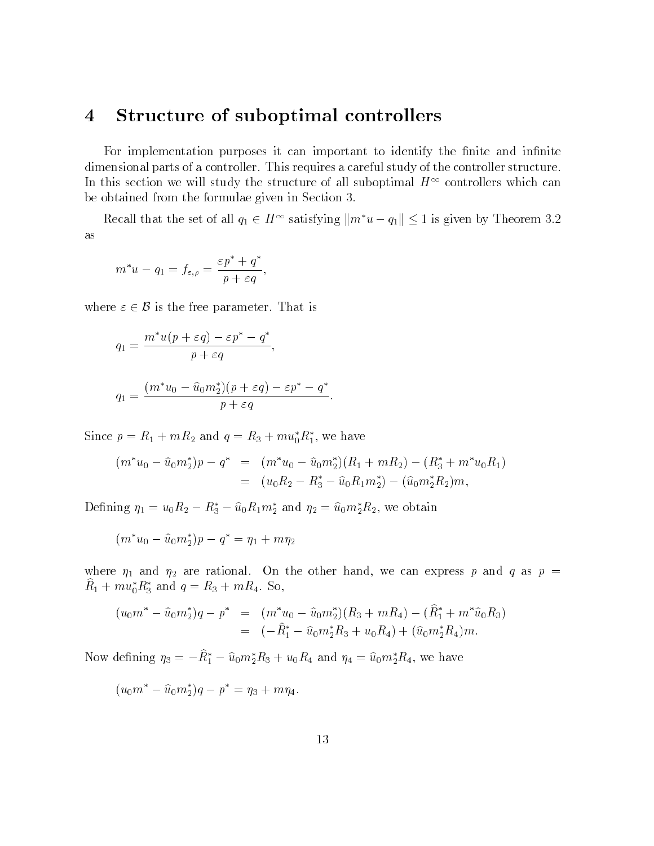#### 4 Structure of suboptimal controllers

For implementation purposes it can important to identify the finite and infinite dimensional parts of a controller. This requires a careful study of the controller structure. In this section we will study the structure of all suboptimal  $H^{++}$  controllers which can be obtained from the formulae given in Section 3.

Recall that the set of all  $q_1 \in H$  satisfying  $\|m\ u - q_1\| \leq 1$  is given by Theorem 3.2 as

$$
m^*u - q_1 = f_{\varepsilon,\rho} = \frac{\varepsilon p^* + q^*}{p + \varepsilon q},
$$

where  $\varepsilon \in \mathcal{B}$  is the free parameter. That is  $\frac{1}{2}$  b is the free parameter. That is the free parameter. That is the free parameter. That is the free parameter.

$$
q_1 = \frac{m^*u(p + \varepsilon q) - \varepsilon p^* - q^*}{p + \varepsilon q},
$$
  

$$
q_1 = \frac{(m^*u_0 - \hat{u}_0m_2^*)(p + \varepsilon q) - \varepsilon p^* - q^*}{p + \varepsilon q}.
$$

Since  $p = R_1 + mR_2$  and  $q = R_3 + m u_0 R_1$ , we have

$$
(m^*u_0 - \hat{u}_0m_2^*)p - q^* = (m^*u_0 - \hat{u}_0m_2^*)(R_1 + mR_2) - (R_3^* + m^*u_0R_1)
$$
  
= 
$$
(u_0R_2 - R_3^* - \hat{u}_0R_1m_2^*) - (\hat{u}_0m_2^*R_2)m,
$$

Defining  $\eta_1 = u_0 \mathbf{\hat{n}}_2 - \mathbf{\hat{n}}_3 - u_0 \mathbf{\hat{n}}_1 \mathbf{\hat{n}}_2$  and  $\eta_2 = u_0 m_2 \mathbf{\hat{n}}_2$ , we obtain

 $(m\ u_0-u_0m_2)p-q = \eta_1+m\eta_2$ 

where  $\eta_1$  and  $\eta_2$  are rational. On the other hand, we can express p and q as p =  $R_1 + m u_0 R_3$  and  $q = R_3 + m R_4$ . So,

$$
\begin{array}{rcl}\n(u_0 m^* - \hat{u}_0 m_2^*) q - p^* & = & (m^* u_0 - \hat{u}_0 m_2^*) (R_3 + mR_4) - (\hat{R}_1^* + m^* \hat{u}_0 R_3) \\
& = & (-\hat{R}_1^* - \hat{u}_0 m_2^* R_3 + u_0 R_4) + (\hat{u}_0 m_2^* R_4) m.\n\end{array}
$$

Now defining  $\eta_3 = -R_1 - u_0 m_2 R_3 + u_0 R_4$  and  $\eta_4 = u_0 m_2 R_4$ , we have

 $(u_0m - u_0m_2)q - p = \eta_3 + m\eta_4.$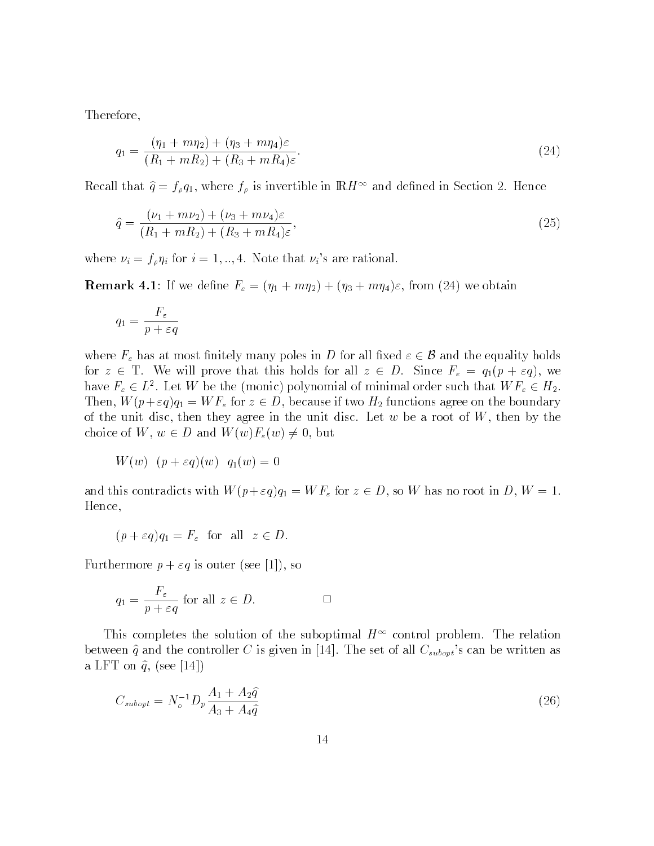Therefore,

$$
q_1 = \frac{(\eta_1 + m\eta_2) + (\eta_3 + m\eta_4)\varepsilon}{(R_1 + mR_2) + (R_3 + mR_4)\varepsilon}.\tag{24}
$$

Recall that  $q = f_{\rho}q_1$ , where  $f_{\rho}$  is invertible in  $\mathbb{R}H$  and defined in Section 2. Hence

$$
\hat{q} = \frac{(\nu_1 + m\nu_2) + (\nu_3 + m\nu_4)\varepsilon}{(R_1 + mR_2) + (R_3 + mR_4)\varepsilon},\tag{25}
$$

where  $\nu_i = f_{\rho} \eta_i$  for  $i = 1, ..., 4$ . Note that  $\nu_i$ 's are rational.

**Remark 4.1:** If we define  $F_{\varepsilon} = (\eta_1 + m\eta_2) + (\eta_3 + m\eta_4)\varepsilon$ , from (24) we obtain

$$
q_1 = \frac{F_{\varepsilon}}{p + \varepsilon q}
$$

where  $F_{\varepsilon}$  has at most finitely many poles in D for all fixed  $\varepsilon \in \mathcal{B}$  and the equality holds for  $z \in T$ . We will prove that this holds for all  $z \in D$ . Since  $F_{\varepsilon} = q_1(p + \varepsilon q)$ , we have  $r_{\varepsilon} \in L^{\infty}$ . Let W be the (monic) polynomial of minimal order such that W  $r_{\varepsilon} \in H_2$ . Then,  $\frac{M}{q}$  for  $\frac{M}{q}$  for  $\frac{M}{q}$  for z  $\frac{M}{q}$  functions and the boundary  $\frac{M}{q}$  functions are boundary  $\frac{M}{q}$  functions and the boundary  $\frac{M}{q}$  functions are boundary  $\frac{M}{q}$  functions and  $\frac{M}{q$ of the unit disc, then they agree in the unit disc. Let  $w$  be a root of  $W$ , then by the choice of  $W$ , we are defined with  $\langle W \rangle$  for  $\langle W \rangle$  ,  $\langle W \rangle$  , but if

$$
W(w) (p + \varepsilon q)(w) q_1(w) = 0
$$

and the  $\frac{1}{2}$  for  $\frac{1}{2}$  for  $\frac{1}{2}$  for  $\frac{1}{2}$   $\frac{1}{2}$  for  $\frac{1}{2}$ Hence,

$$
(p + \varepsilon q)q_1 = F_{\varepsilon} \text{ for all } z \in D.
$$

Furthermore  $p + \varepsilon q$  is outer (see [1]), so

$$
q_1 = \frac{F_{\varepsilon}}{p + \varepsilon q} \text{ for all } z \in D. \qquad \Box
$$

This completes the solution of the suboptimal  $H^+$  control problem. The relation between  $\hat{q}$  and the controller C is given in [14]. The set of all  $C_{subopt}$ 's can be written as a LFT on  $\hat{q}$ , (see [14])

$$
C_{\text{subopt}} = N_o^{-1} D_p \frac{A_1 + A_2 \hat{q}}{A_3 + A_4 \hat{q}}
$$
\n(26)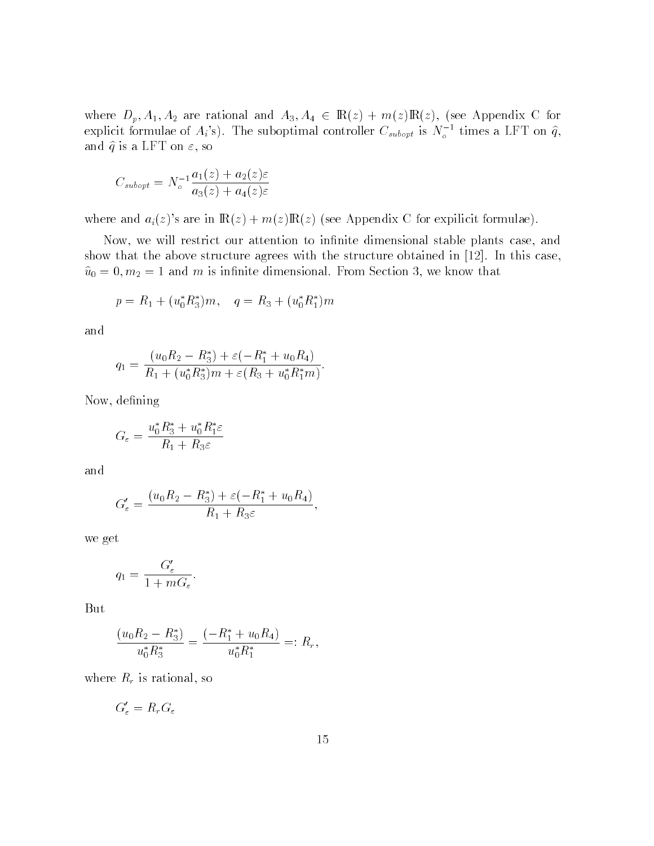explicit formulae of  $A_i$ 's). The suboptimal controller  $C_{subopt}$  is  $N_c^{-1}$  times a LFT on  $\hat{q}$ , and  $\hat{q}$  is a LFT on  $\varepsilon$ , so

$$
C_{subopt} = N_o^{-1} \frac{a_1(z) + a_2(z)\varepsilon}{a_3(z) + a_4(z)\varepsilon}
$$

where and  $a_i(z)$ 's are in  $\mathbb{R}(z) + m(z)\mathbb{R}(z)$  (see Appendix C for expilicit formulae).

Now, we will restrict our attention to infinite dimensional stable plants case, and show that the above structure agrees with the structure obtained in [12]. In this case,  $\omega_0$  =  $\sigma$ ,  $m_2$  = 1 and *m* is infinite dimensional. From Section 3, we know that

$$
p = R_1 + (u_0^* R_3^*) m, \quad q = R_3 + (u_0^* R_1^*) m
$$

and

$$
q_1 = \frac{(u_0 R_2 - R_3^*) + \varepsilon(-R_1^* + u_0 R_4)}{R_1 + (u_0^* R_3^*)m + \varepsilon(R_3 + u_0^* R_1^* m)}.
$$

Now, defining

$$
G_{\varepsilon} = \frac{u_0^* R_3^* + u_0^* R_1^* \varepsilon}{R_1 + R_3 \varepsilon}
$$

and

$$
G'_{\varepsilon} = \frac{(u_0 R_2 - R_3^*) + \varepsilon(-R_1^* + u_0 R_4)}{R_1 + R_3 \varepsilon},
$$

we get

$$
q_1 = \frac{G'_{\varepsilon}}{1 + mG_{\varepsilon}}.
$$

But

$$
\frac{(u_0 R_2 - R_3^*)}{u_0^* R_3^*} = \frac{(-R_1^* + u_0 R_4)}{u_0^* R_1^*} =: R_r,
$$

where  $R_r$  is rational, so

$$
G'_\varepsilon=R_rG_\varepsilon
$$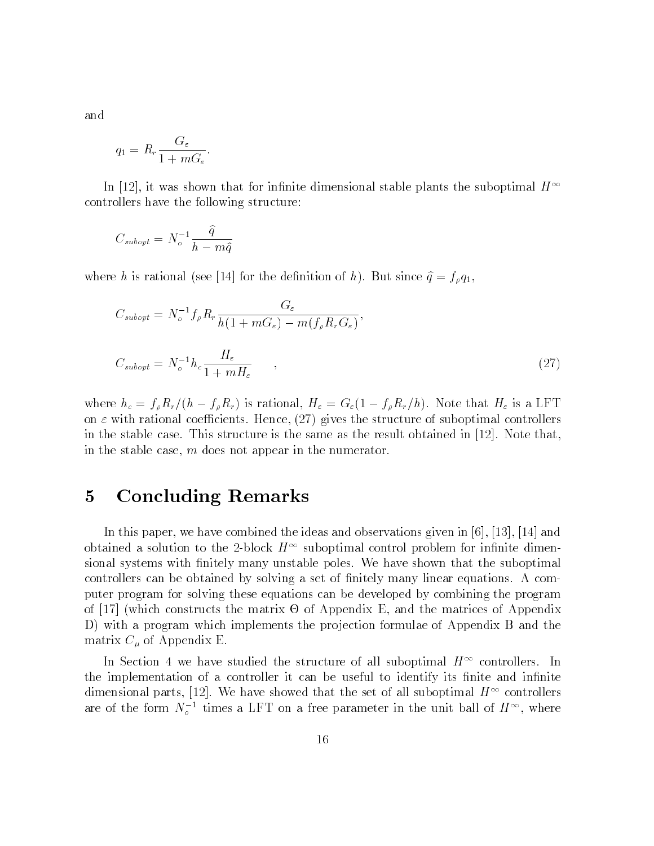and

$$
q_1 = R_r \frac{G_{\varepsilon}}{1 + mG_{\varepsilon}}.
$$

In [12], it was shown that for infinite dimensional stable plants the suboptimal  $H^{\infty}$ controllers have the following structure:

$$
C_{subopt} = N_o^{-1} \frac{\hat{q}}{h - m\hat{q}}
$$

where h is rational (see [14] for the definition of h). But since  $\hat{q} = f_{\rho}q_1$ ,

$$
C_{\text{subopt}} = N_o^{-1} f_\rho R_r \frac{G_\varepsilon}{h(1 + mG_\varepsilon) - m(f_\rho R_r G_\varepsilon)},
$$
  

$$
C_{\text{subopt}} = N_o^{-1} h_c \frac{H_\varepsilon}{1 + mH_\varepsilon},
$$
 (27)

where  $\frac{1}{2}$  from  $\frac{1}{2}$  fractional, H  $\frac{1}{2}$  is a letter that  $\frac{1}{2}$  is a letter  $\frac{1}{2}$  is a letter  $\frac{1}{2}$ on  $\varepsilon$  with rational coefficients. Hence, (27) gives the structure of suboptimal controllers in the stable case. This structure is the same as the result obtained in [12]. Note that, in the stable case, m does not appear in the numerator.

### 5 Concluding Remarks

In this paper, we have combined the ideas and observations given in [6], [13], [14] and obtained a solution to the z-block  $H^+$  suboptimal control problem for infinite dimensional systems with finitely many unstable poles. We have shown that the suboptimal controllers can be obtained by solving a set of finitely many linear equations. A computer program for solving these equations can be developed by combining the program of [27] (which constructs the matrix of Appendix - and the matrix - and the matrix of Appendix - and the matri D) with a program which implements the projection formulae of Appendix B and the matrix  $C_{\mu}$  of Appendix E.

In Section 4 we have studied the structure of all suboptimal  $H^+$  controllers. In the implementation of a controller it can be useful to identify its finite and infinite dimensional parts,  $[12]$ . We have showed that the set of all suboptimal  $H^{\pm \pm}$  controllers are of the form  $N_{\rho}$  times a LFT on a free parameter in the unit ball of  $H^{++}$ , where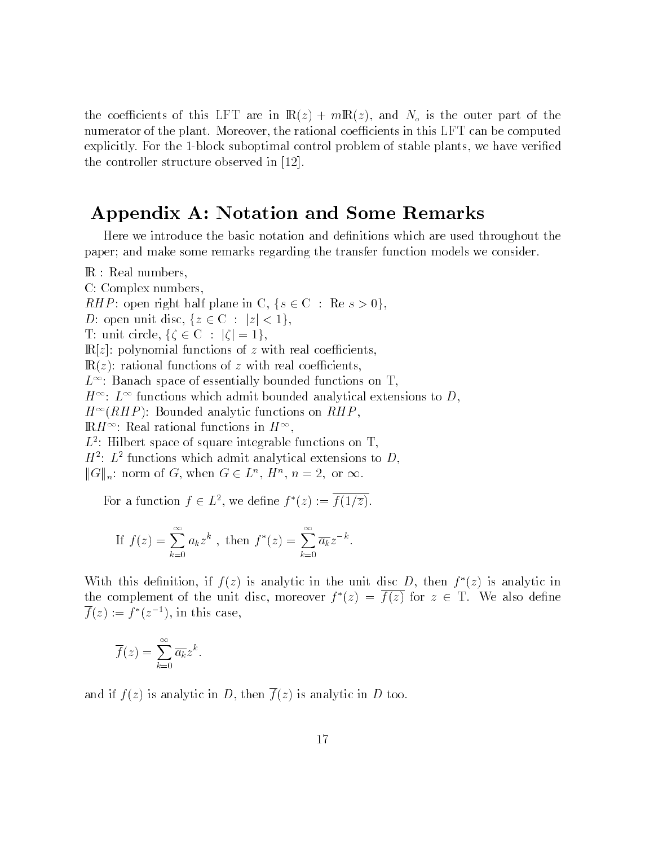the coefficients of this LFT are in  $\mathbb{R}(z) + m\mathbb{R}(z)$ , and  $N_o$  is the outer part of the numerator of the plant. Moreover, the rational coefficients in this LFT can be computed explicitly. For the 1-block suboptimal control problem of stable plants, we have veried the controller structure observed in [12].

## Appendix A: Notation and Some Remarks

Here we introduce the basic notation and definitions which are used throughout the paper; and make some remarks regarding the transfer function models we consider.

IR : Real numbers, C: Complex numbers, RHP: open right half plane in C,  $\{s \in \mathcal{C} : \mathbb{Re} s > 0\}$ ,<br>D: open unit disc,  $\{z \in \mathcal{C} : |z| < 1\}$ ,<br>T: unit circle,  $\{\zeta \in \mathcal{C} : |\zeta| = 1\}$ ,  $\mathbb{R}[z]$ : polynomial functions of z with real coefficients,  $\mathbb{R}(z)$ : rational functions of z with real coefficients,  $L^+$ : Danach space of essentially bounded functions on T,  $H^{++}$ :  $L^{++}$  functions which admit bounded analytical extensions to  $D,$  $H^+$  (RHP): Dounded analytic functions on RHF,  $\mathbb{R}$ H $\cdots$  Real rational functions in  $H^+$  ,  $L^{\text{-}}$ : Hilbert space of square integrable functions on T,  $\blacksquare$  $H^{\pm}$ :  $L^{\pm}$  functions which admit analytical extensions to  $D$ ,  $||G||_n$ : norm or  $G$ , when  $G \in L^n$ ,  $H^n$ ,  $n = 2$ , or  $\infty$ .

For a function  $f \in L^2$ , we define  $f(z) := f(1/z)$ .

If 
$$
f(z) = \sum_{k=0}^{\infty} a_k z^k
$$
, then  $f^*(z) = \sum_{k=0}^{\infty} \overline{a_k} z^{-k}$ .

With this definition, if  $f(z)$  is analytic in the unit disc D, then  $f^*(z)$  is analytic in the complement of the unit disc, moreover  $f(z) = f(z)$  for  $z \in \mathcal{I}$ . We also define  $f(z) := f(z, z)$ , in this case,

$$
\overline{f}(z) = \sum_{k=0}^{\infty} \overline{a_k} z^k.
$$

and if  $f(z)$  is analytic in D, then  $\overline{f}(z)$  is analytic in D too.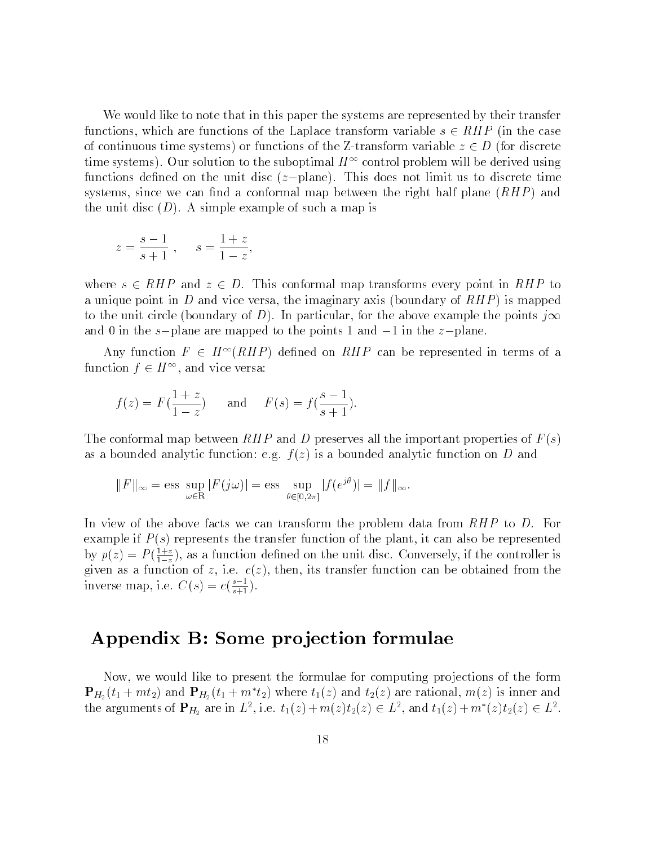We would like to note that in this paper the systems are represented by their transfer functions, which are functions of the Laplace transform variable s 2 RHP (in the case of continuous time systems) or functions of the Z-transform variable  $Z-\chi$ thre systems). Our solution to the suboptimal  $H^{++}$  control problem will be derived using functions defined on the unit disc  $(z-\text{plane})$ . This does not limit us to discrete time systems, since we can find a conformal map between the right half plane  $(RHP)$  and the unit disc  $(D)$ . A simple example of such a map is

$$
z = \frac{s-1}{s+1}
$$
,  $s = \frac{1+z}{1-z}$ ,

where s 2 RHP and  $z = 1$  density and  $z = 1$  density  $\mathbf{r}_1$  is conformal map to  $\mathbf{r}_1$  to  $\mathbf{r}_2$ a unique point in D and vice versa, the imaginary axis (boundary of  $RHP$ ) is mapped to the unit circle (boundary of D). In particular, for the above example the points  $j\infty$ and 0 in the s-plane are mapped to the points 1 and  $-1$  in the z-plane.

Any function  $F \in H^{\infty}(RHF)$  defined on  $RHF$  can be represented in terms of a function  $f \in H^{\sim}$ , and vice versa:

$$
f(z) = F(\frac{1+z}{1-z})
$$
 and  $F(s) = f(\frac{s-1}{s+1}).$ 

The conformal map between  $RHP$  and D preserves all the important properties of  $F(s)$ as a bounded analytic function: e.g.  $f(z)$  is a bounded analytic function on D and

$$
||F||_{\infty} = \operatorname{ess} \sup_{\omega \in \mathbb{R}} |F(j\omega)| = \operatorname{ess} \sup_{\theta \in [0,2\pi]} |f(e^{j\theta})| = ||f||_{\infty}.
$$

In view of the above facts we can transform the problem data from  $RHP$  to D. For example if  $P(s)$  represents the transfer function of the plant, it can also be represented by  $p(z) = F(\frac{1}{1-z})$ , as a function defined on the unit disc. Conversely, if the controller is given as a function of z, i.e.  $c(z)$ , then, its transfer function can be obtained from the inverse map, i.e.  $C(s) = c(\frac{1}{s+1})$ .

# Appendix B: Some pro jection formulae

Now, we would like to present the formulae for computing pro jections of the form  $\mathbf{r}_{H_2}(i_1+mi_2)$  and  $\mathbf{r}_{H_2}(i_1+mi_2)$  where  $i_1(z)$  and  $i_2(z)$  are rational,  $m(z)$  is liner and the arguments of  $\mathbf{F}_{H_2}$  are in  $L^2$ , i.e.  $t_1(z) + m(z)t_2(z) \in L^2$ , and  $t_1(z) + m(z)t_2(z) \in L^2$ .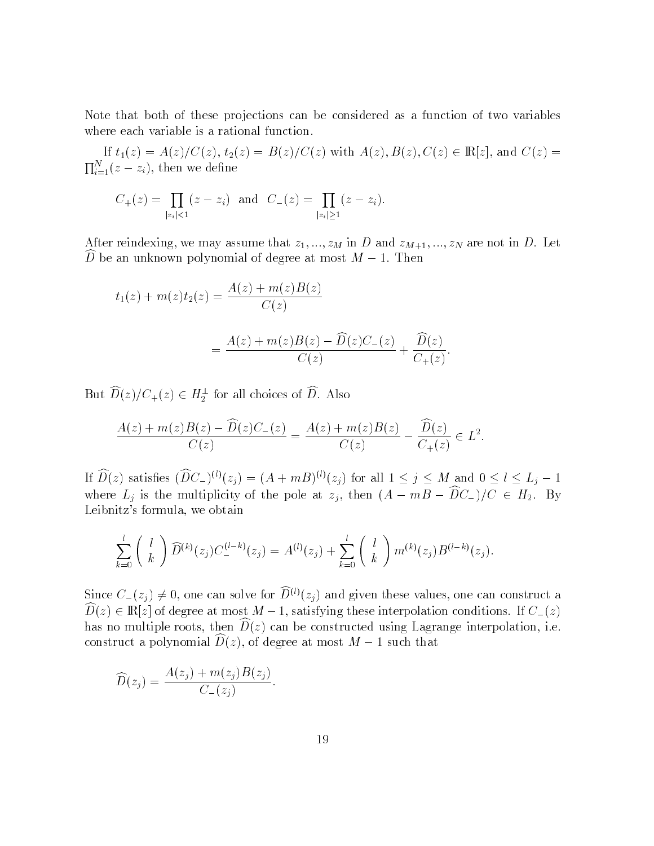Note that both of these projections can be considered as a function of two variables where each variable is a rational function.

If the  $\{x_i\}_{i=1}^n$  and  $\{x_i\}_{i=1}^n$  with  $\{x_i\}_{i=1}^n$  with  $\{x_i\}_{i=1}^n$  with  $\{x_i\}_{i=1}^n$  and  $C(x)$  is the contribution of  $\{x_i\}_{i=1}^n$  $\prod_{i=1}^{N}(z-z_i)$ , then we define

$$
C_{+}(z) = \prod_{|z_i| < 1} (z - z_i)
$$
 and  $C_{-}(z) = \prod_{|z_i| \geq 1} (z - z_i)$ .

After reindexing, we may assume that  $z_1, ..., z_M$  in D and  $z_{M+1}, ..., z_N$  are not in D. Let  $D$  be an unknown polynomial of degree at most  $M = 1$ . Then

$$
t_1(z) + m(z)t_2(z) = \frac{A(z) + m(z)B(z)}{C(z)}
$$
  
= 
$$
\frac{A(z) + m(z)B(z) - \widehat{D}(z)C_{-}(z)}{C(z)} + \frac{\widehat{D}(z)}{C_{+}(z)}.
$$

But  $D(z)/C_{+}(z) \in H_{2}^{-}$  for all choices of D. Also

$$
\frac{A(z) + m(z)B(z) - \widehat{D}(z)C_{-}(z)}{C(z)} = \frac{A(z) + m(z)B(z)}{C(z)} - \frac{\widehat{D}(z)}{C_{+}(z)} \in L^{2}.
$$

If  $D(z)$  satisfies  $(DC_{-})^{\sigma}(z_j) = (A + mB)^{\sigma}(z_j)$  for all  $1 \leq j \leq M$  and  $0 \leq l \leq L_j - 1$ where  $L_j$  is the multiplicity of the pole at  $z_j$ , then  $(A - mB - D\ell_z)/C \in H_2$ . By Leibnitz's formula, we obtain

$$
\sum_{k=0}^{l} \binom{l}{k} \widehat{D}^{(k)}(z_j) C^{(l-k)}_-(z_j) = A^{(l)}(z_j) + \sum_{k=0}^{l} \binom{l}{k} m^{(k)}(z_j) B^{(l-k)}(z_j).
$$

Since  $C_{-}(z_j) \neq 0$ , one can solve for  $\widehat{D}^{(l)}(z_j)$  and given these values, one can construct a  $D(z) \in \mathbf{R}[z]$  of degree at most  $M - 1$ , satisfying these interpolation conditions. If  $C_{-}(z)$ has no multiple roots, then  $D(z)$  can be constructed using Lagrange interpolation, i.e. construct a polynomial  $D(z)$ , of degree at most  $M - 1$  such that

$$
\widehat{D}(z_j) = \frac{A(z_j) + m(z_j)B(z_j)}{C_-(z_j)}.
$$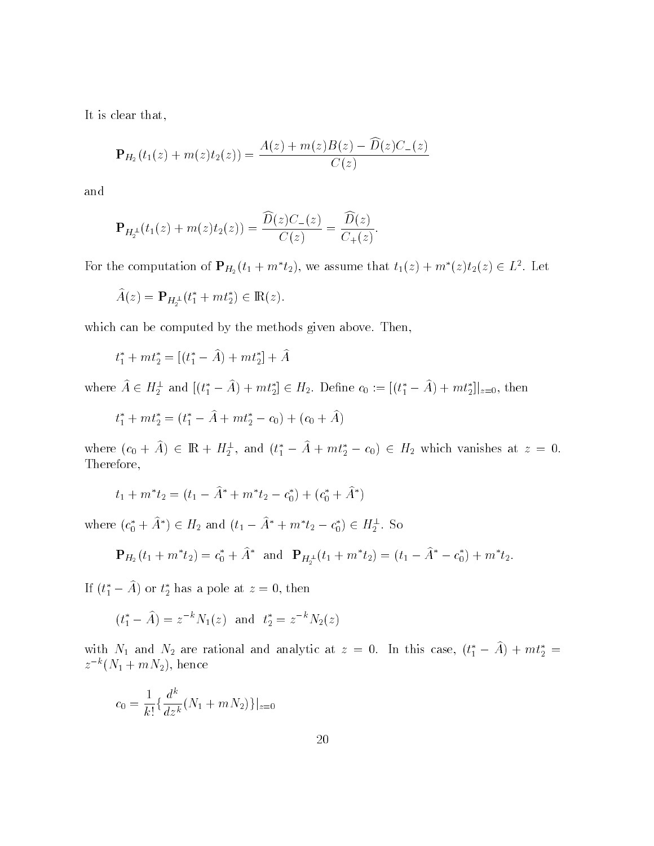It is clear that,

$$
\mathbf{P}_{H_2}(t_1(z) + m(z)t_2(z)) = \frac{A(z) + m(z)B(z) - \widehat{D}(z)C_{-}(z)}{C(z)}
$$

and

$$
\mathbf{P}_{H_2^{\perp}}(t_1(z) + m(z)t_2(z)) = \frac{\overline{D(z)C_{-}(z)}}{C(z)} = \frac{\overline{D(z)}}{C_{+}(z)}.
$$

For the computation of  $\mathbf{F}_{H_2}(t_1 + m_1 t_2)$ , we assume that  $t_1(z) + m_1(z)t_2(z) \in L^2$ . Let

$$
\widehat{A}(z) = \mathbf{P}_{H_2^{\perp}}(t_1^* + mt_2^*) \in \mathbb{R}(z).
$$

which can be computed by the methods given above. Then,

$$
t_1^* + m t_2^* = [(t_1^* - \hat{A}) + m t_2^*] + \hat{A}
$$

where  $A \in H_2^-$  and  $[(t_1 - A) + mt_2] \in H_2$ . Define  $c_0 := [(t_1 - A) + mt_2]|_{z=0}$ , then

$$
t_1^* + m t_2^* = (t_1^* - \hat{A} + m t_2^* - c_0) + (c_0 + \hat{A})
$$

where  $(c_0 + A) \in \text{IR} + H_2^-$ , and  $(t_1 - A + mt_2 - c_0) \in H_2$  which vanishes at  $z = 0$ . Therefore,

$$
t_1 + m^* t_2 = (t_1 - \hat{A}^* + m^* t_2 - c_0^*) + (c_0^* + \hat{A}^*)
$$

where  $(c_0 + A) \in H_2$  and  $(t_1 - A + m t_2 - c_0) \in H_2^-$ . So

$$
\mathbf{P}_{H_2}(t_1 + m^*t_2) = c_0^* + \hat{A}^* \text{ and } \mathbf{P}_{H_2^{\perp}}(t_1 + m^*t_2) = (t_1 - \hat{A}^* - c_0^*) + m^*t_2.
$$

If  $(t_1 - A)$  or  $t_2$  has a pole at  $z = 0$ , then

$$
(t_1^* - \hat{A}) = z^{-k} N_1(z)
$$
 and  $t_2^* = z^{-k} N_2(z)$ 

with  $N_1$  and  $N_2$  are rational and analytic at  $z = 0$ . In this case,  $(t_1 - A) + m t_2 =$  $z^{-k} (N_1 + mN_2)$ , hence

$$
c_0 = \frac{1}{k!} \{ \frac{d^k}{dz^k} (N_1 + mN_2) \} |_{z=0}
$$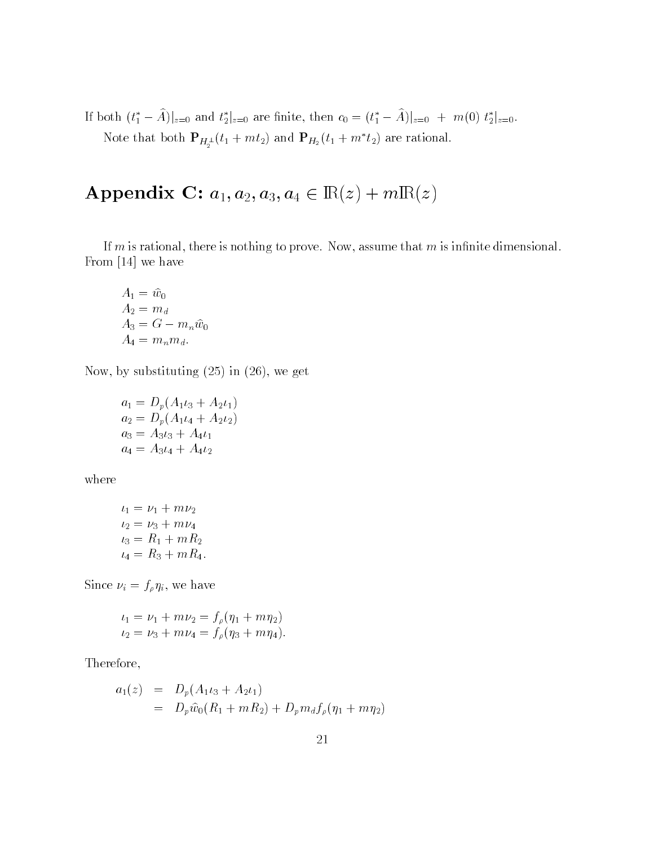If both  $(t_1 - A)|_{z=0}$  and  $t_2|_{z=0}$  are ninte, then  $c_0 = (t_1 - A)|_{z=0} + m(0) t_2|_{z=0}$ . Note that both  $\mathbf{P}_{H_2^{\perp}}(t_1+mt_2)$  and  $\mathbf{P}_{H_2}(t_1+m|t_2)$  are rational.

# Appendix C:  $a_1, a_2, a_3, a_4 \in \mathbb{R}(z) + m\mathbb{R}(z)$

If m is rational, there is nothing to prove. Now, assume that  $m$  is infinite dimensional. From [14] we have

$$
A_1 = \hat{w}_0
$$
  
\n
$$
A_2 = m_d
$$
  
\n
$$
A_3 = G - m_n \hat{w}_0
$$
  
\n
$$
A_4 = m_n m_d.
$$

Now, by substituting (25) in (26), we get

 $a_1 = D_p(A_1i_3 + A_2i_1)$  $a_2 = D_p(A_1 \iota_4 + A_2 \iota_2)$  $a_3 = A_3 i_3 + A_4 i_1$  $a_4 = A_3t_4 + A_4t_2$ 

where

$$
\iota_1 = \nu_1 + m\nu_2
$$
  
\n
$$
\iota_2 = \nu_3 + m\nu_4
$$
  
\n
$$
\iota_3 = R_1 + mR_2
$$
  
\n
$$
\iota_4 = R_3 + mR_4.
$$

Since  $\nu_i = f_\rho \eta_i$ , we have

$$
t_1 = \nu_1 + m\nu_2 = f_\rho(\eta_1 + m\eta_2)
$$
  

$$
t_2 = \nu_3 + m\nu_4 = f_\rho(\eta_3 + m\eta_4).
$$

Therefore,

$$
a_1(z) = D_p(A_1 \iota_3 + A_2 \iota_1)
$$
  
= 
$$
D_p \widehat{w}_0(R_1 + mR_2) + D_p m_d f_p(\eta_1 + m\eta_2)
$$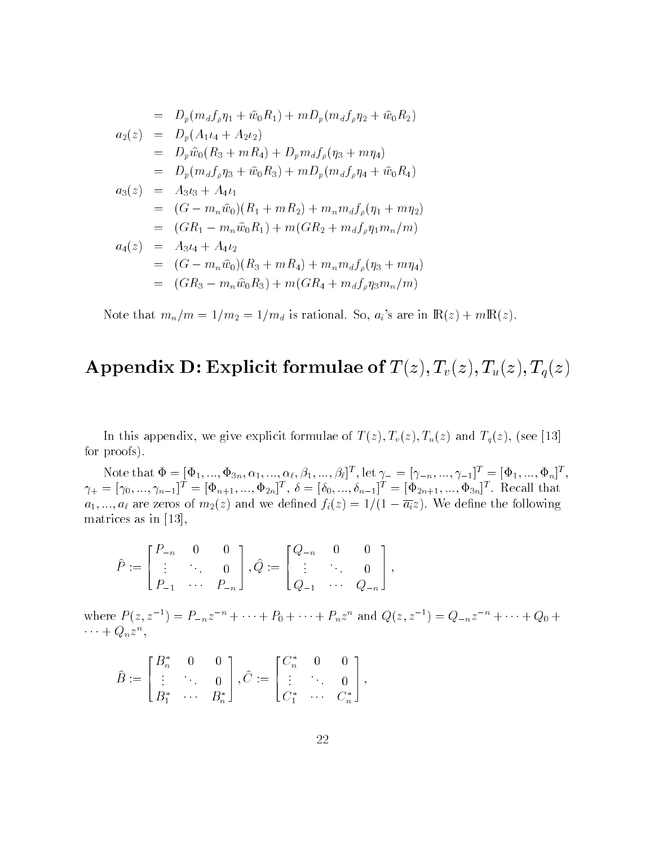$$
= D_p(m_d f_{\rho} \eta_1 + \hat{w}_0 R_1) + m D_p(m_d f_{\rho} \eta_2 + \hat{w}_0 R_2)
$$
  
\n
$$
a_2(z) = D_p(A_1 \iota_4 + A_2 \iota_2)
$$
  
\n
$$
= D_p \hat{w}_0(R_3 + mR_4) + D_p m_d f_{\rho}(\eta_3 + m\eta_4)
$$
  
\n
$$
= D_p(m_d f_{\rho} \eta_3 + \hat{w}_0 R_3) + m D_p(m_d f_{\rho} \eta_4 + \hat{w}_0 R_4)
$$
  
\n
$$
a_3(z) = A_3 \iota_3 + A_4 \iota_1
$$
  
\n
$$
= (G - m_n \hat{w}_0)(R_1 + mR_2) + m_n m_d f_{\rho}(\eta_1 + m\eta_2)
$$
  
\n
$$
= (GR_1 - m_n \hat{w}_0 R_1) + m(GR_2 + m_d f_{\rho} \eta_1 m_n/m)
$$
  
\n
$$
a_4(z) = A_3 \iota_4 + A_4 \iota_2
$$
  
\n
$$
= (G - m_n \hat{w}_0)(R_3 + mR_4) + m_n m_d f_{\rho}(\eta_3 + m\eta_4)
$$
  
\n
$$
= (GR_3 - m_n \hat{w}_0 R_3) + m(GR_4 + m_d f_{\rho} \eta_3 m_n/m)
$$

Note that  $m_n/m = 1/m_2 = 1/m_d$  is rational. So,  $a_i$ 's are in  $\mathbb{R}(z) + m\mathbb{R}(z)$ .

# Appendix D: Explicit formulae of  $T(z), T_v(z), T_u(z), T_q(z)$

In this appendix, we give explicit formulae of  $T(z)$ ,  $T_v(z)$ ,  $T_u(z)$  and  $T_q(z)$ , (see [13] for proofs).

Note that  $\Psi = [\Psi_1, ..., \Psi_{3n}, \alpha_1, ..., \alpha_{\ell}, \beta_1, ..., \beta_{\ell}]^{\top}$ , let  $\gamma_- = [\gamma_{-n}, ..., \gamma_{-1}]^{\top} = [\Psi_1, ..., \Psi_n]^{\top}$ ,  $\gamma_+ = [\gamma_0, ..., \gamma_{n-1}]^\top = [\Psi_{n+1}, ..., \Psi_{2n}]^\top, o = [o_0, ..., o_{n-1}]^\top = [\Psi_{2n+1}, ..., \Psi_{3n}]^\top$ . Recall that  $\alpha_1, \ldots, \alpha_n$  are zeros of  $\alpha_2$ (i) and we denote  $J(\zeta)=-1$  (if  $\alpha_1,\ldots,\alpha_n$  are denoted the following matrices as in [13],

$$
\hat{P} := \begin{bmatrix} P_{-n} & 0 & 0 \\ \vdots & \ddots & 0 \\ P_{-1} & \cdots & P_{-n} \end{bmatrix}, \hat{Q} := \begin{bmatrix} Q_{-n} & 0 & 0 \\ \vdots & \ddots & 0 \\ Q_{-1} & \cdots & Q_{-n} \end{bmatrix},
$$

where  $P(z, z^-) = P_{-n}z^- + \cdots + P_0 + \cdots + P_nz^-$  and  $Q(z, z^-) = Q_{-n}z^- + \cdots + Q_0 +$  $\cdots + Q_n z^n,$ 

$$
\hat{B}:=\begin{bmatrix}B_n^*&0&0\\ \vdots &\ddots &0\\ B_1^*&\cdots &B_n^*\end{bmatrix}, \hat{C}:=\begin{bmatrix}C_n^*&0&0\\ \vdots &\ddots &0\\ C_1^*&\cdots &C_n^*\end{bmatrix},
$$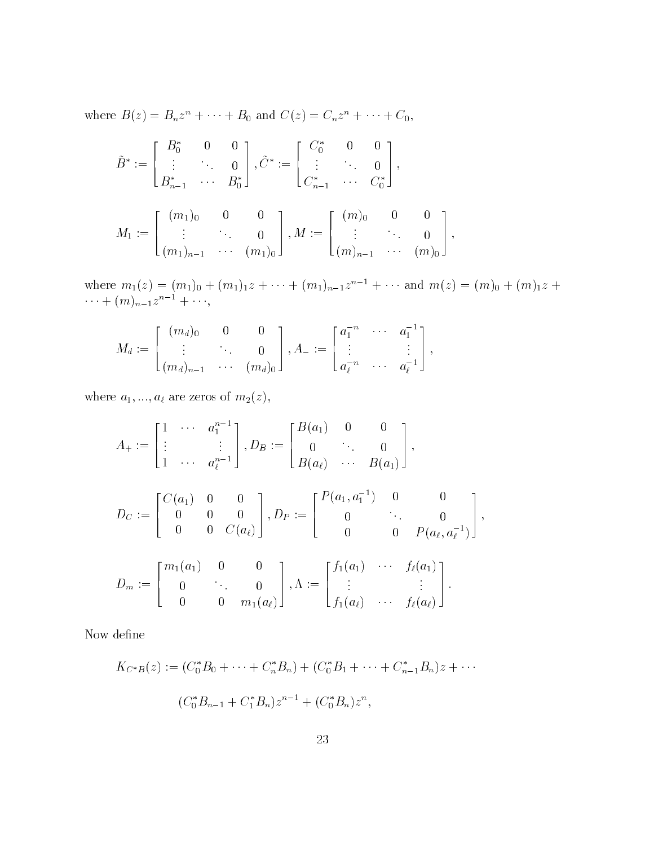where  $D(z) = D_n z^n + \cdots + D_0$  and  $C(z) = C_n z^n + \cdots + C_0$ ,

$$
\tilde{B}^* := \begin{bmatrix} B_0^* & 0 & 0 \\ \vdots & \ddots & 0 \\ B_{n-1}^* & \cdots & B_0^* \end{bmatrix}, \tilde{C}^* := \begin{bmatrix} C_0^* & 0 & 0 \\ \vdots & \ddots & 0 \\ C_{n-1}^* & \cdots & C_0^* \end{bmatrix},
$$

$$
M_1 := \begin{bmatrix} (m_1)_0 & 0 & 0 \\ \vdots & \ddots & 0 \\ (m_1)_{n-1} & \cdots & (m_1)_0 \end{bmatrix}, M := \begin{bmatrix} (m)_0 & 0 & 0 \\ \vdots & \ddots & 0 \\ (m)_{n-1} & \cdots & (m)_0 \end{bmatrix},
$$

where  $m_1(z) = (m_1)_0 + (m_1)_1 z + \cdots + (m_1)_{n-1} z^{n-1} + \cdots$  and  $m(z) = (m)_0 + (m)_1 z +$  $\cdots$  +  $(m)_{n-1}z$  +  $\cdots$ ,

$$
M_d := \begin{bmatrix} (m_d)_0 & 0 & 0 \\ \vdots & \ddots & 0 \\ (m_d)_{n-1} & \cdots & (m_d)_0 \end{bmatrix}, A_- := \begin{bmatrix} a_1^{-n} & \cdots & a_1^{-1} \\ \vdots & & \vdots \\ a_\ell^{-n} & \cdots & a_\ell^{-1} \end{bmatrix},
$$

where  $a_1, ..., a_\ell$  are zeros of  $m_2(z)$ ,

$$
A_{+} := \begin{bmatrix} 1 & \cdots & a_1^{n-1} \\ \vdots & & \vdots \\ 1 & \cdots & a_{\ell}^{n-1} \end{bmatrix}, D_{B} := \begin{bmatrix} B(a_1) & 0 & 0 \\ 0 & \cdots & 0 \\ B(a_{\ell}) & \cdots & B(a_1) \end{bmatrix},
$$
  
\n
$$
D_{C} := \begin{bmatrix} C(a_1) & 0 & 0 \\ 0 & 0 & 0 \\ 0 & 0 & C(a_{\ell}) \end{bmatrix}, D_{P} := \begin{bmatrix} P(a_1, a_1^{-1}) & 0 & 0 \\ 0 & \cdots & 0 \\ 0 & 0 & P(a_{\ell}, a_{\ell}^{-1}) \end{bmatrix},
$$
  
\n
$$
D_{m} := \begin{bmatrix} m_1(a_1) & 0 & 0 \\ 0 & \cdots & 0 \\ 0 & 0 & m_1(a_{\ell}) \end{bmatrix}, \Lambda := \begin{bmatrix} f_1(a_1) & \cdots & f_{\ell}(a_1) \\ \vdots & & \vdots \\ f_1(a_{\ell}) & \cdots & f_{\ell}(a_{\ell}) \end{bmatrix}.
$$

Now define

$$
K_{C^*B}(z) := (C_0^*B_0 + \dots + C_n^*B_n) + (C_0^*B_1 + \dots + C_{n-1}^*B_n)z + \dots
$$
  

$$
(C_0^*B_{n-1} + C_1^*B_n)z^{n-1} + (C_0^*B_n)z^n,
$$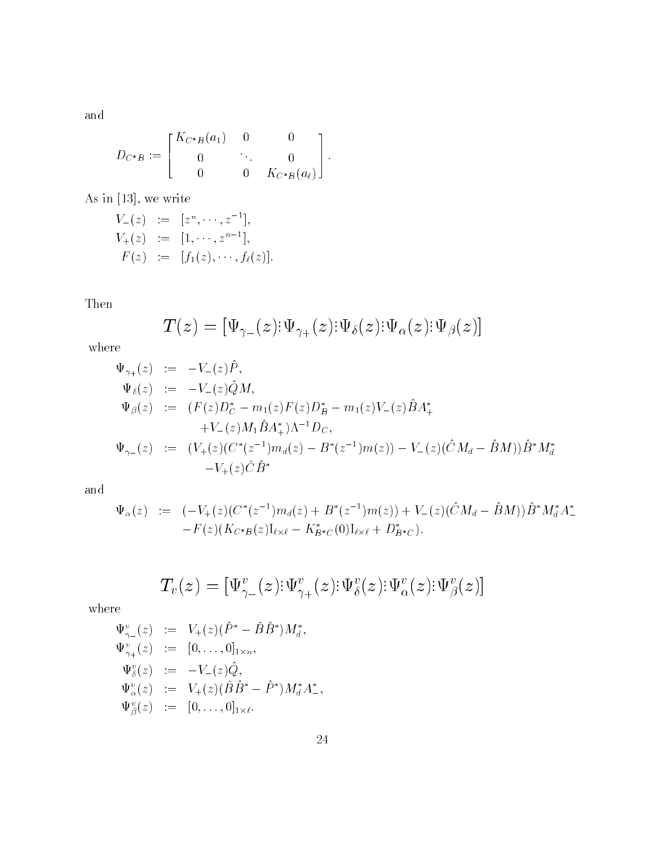and

$$
D_{C^*B} := \begin{bmatrix} K_{C^*B}(a_1) & 0 & 0 \\ 0 & \ddots & 0 \\ 0 & 0 & K_{C^*B}(a_\ell) \end{bmatrix}.
$$

As in [13], we write

$$
V_{-}(z) := [z^{n}, \cdots, z^{-1}],
$$
  
\n
$$
V_{+}(z) := [1, \cdots, z^{n-1}],
$$
  
\n
$$
F(z) := [f_{1}(z), \cdots, f_{\ell}(z)].
$$

Then

$$
T(z)=[\Psi_{\gamma_-}(z){:}\Psi_{\gamma_+}(z){:}\Psi_\delta(z){:}\Psi_\alpha(z){:}\Psi_\beta(z)]
$$

where

$$
\Psi_{\gamma_{+}}(z) := -V_{-}(z)\hat{P},
$$
\n
$$
\Psi_{\delta}(z) := -V_{-}(z)\hat{Q}M,
$$
\n
$$
\Psi_{\beta}(z) := (F(z)D_{C}^{*} - m_{1}(z)F(z)D_{B}^{*} - m_{1}(z)V_{-}(z)\hat{B}A_{+}^{*}
$$
\n
$$
+ V_{-}(z)M_{1}\hat{B}A_{+}^{*})\Lambda^{-1}D_{C},
$$
\n
$$
\Psi_{\gamma_{-}}(z) := (V_{+}(z)(C^{*}(z^{-1})m_{d}(z) - B^{*}(z^{-1})m(z)) - V_{-}(z)(\hat{C}M_{d} - \hat{B}M))\hat{B}^{*}M_{d}^{*}
$$
\n
$$
-V_{+}(z)\tilde{C}\hat{B}^{*}
$$

and

$$
\Psi_{\alpha}(z) := (-V_{+}(z)(C^{*}(z^{-1})m_{d}(z) + B^{*}(z^{-1})m(z)) + V_{-}(z)(\hat{C}M_{d} - \hat{B}M))\hat{B}^{*}M_{d}^{*}A^{*}_{-}
$$
  
-F(z)(K\_{C^{\*}B}(z)I\_{\ell \times \ell} - K\_{B^{\*}C}^{\*}(0)I\_{\ell \times \ell} + D\_{B^{\*}C}^{\*}).

$$
T_v(z)=[\Psi_{\gamma_-}^v(z){:}\Psi_{\gamma_+}^v(z){:}\Psi_{\delta}^v(z){:}\Psi_{\alpha}^v(z){:}\Psi_{\beta}^v(z)]
$$

where

$$
\Psi_{\gamma_{-}}^{v}(z) := V_{+}(z)(\hat{P}^{*} - \tilde{B}\hat{B}^{*})M_{d}^{*},
$$
  
\n
$$
\Psi_{\gamma_{+}}^{v}(z) := [0, ..., 0]_{1 \times n},
$$
  
\n
$$
\Psi_{\delta}^{v}(z) := -V_{-}(z)\hat{Q},
$$
  
\n
$$
\Psi_{\alpha}^{v}(z) := V_{+}(z)(\tilde{B}\hat{B}^{*} - \hat{P}^{*})M_{d}^{*}A_{-}^{*},
$$
  
\n
$$
\Psi_{\beta}^{v}(z) := [0, ..., 0]_{1 \times \ell}.
$$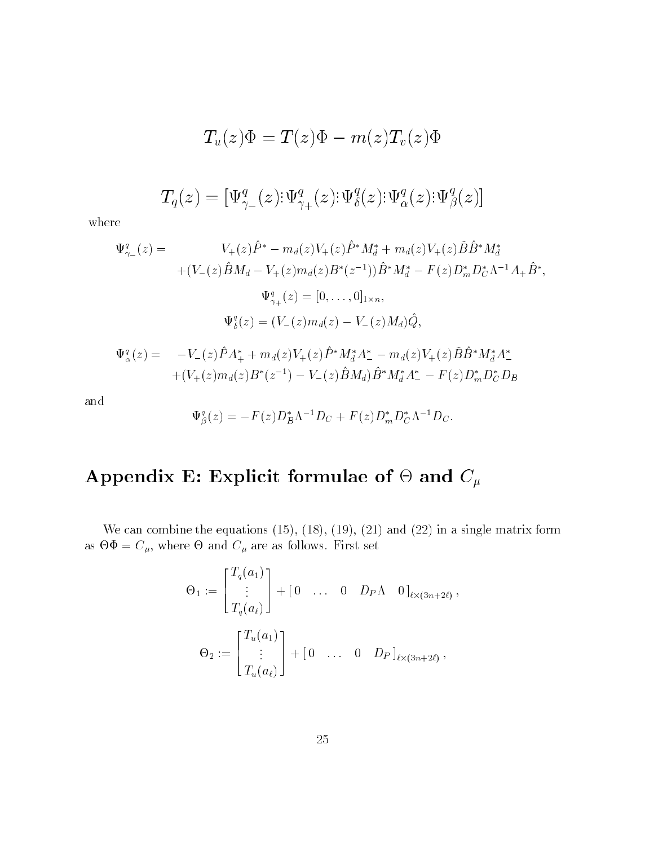$$
T_u(z)\Phi=T(z)\Phi-m(z)T_v(z)\Phi
$$

$$
T_q(z)=[\Psi_{\gamma_-}^q(z){:}\Psi_{\gamma_+}^q(z){:}\Psi_{\delta}^q(z){:}\Psi_{\alpha}^q(z){:}\Psi_{\beta}^q(z)]
$$

where

$$
\Psi_{\gamma_{-}}^{q}(z) = V_{+}(z)\hat{P}^{*} - m_{d}(z)V_{+}(z)\hat{P}^{*}M_{d}^{*} + m_{d}(z)V_{+}(z)\tilde{B}\hat{B}^{*}M_{d}^{*} \n+ (V_{-}(z)\hat{B}M_{d} - V_{+}(z)m_{d}(z)B^{*}(z^{-1}))\hat{B}^{*}M_{d}^{*} - F(z)D_{m}^{*}D_{C}^{*}\Lambda^{-1}A_{+}\hat{B}^{*}, \n\Psi_{\gamma_{+}}^{q}(z) = [0, ..., 0]_{1 \times n}, \n\Psi_{\delta}^{q}(z) = (V_{-}(z)m_{d}(z) - V_{-}(z)M_{d})\hat{Q},
$$

$$
\Psi_{\alpha}^{q}(z) = -V_{-}(z)\hat{P}A_{+}^{*} + m_{d}(z)V_{+}(z)\hat{P}^{*}M_{d}^{*}A_{-}^{*} - m_{d}(z)V_{+}(z)\hat{B}\hat{B}^{*}M_{d}^{*}A_{-}^{*} + (V_{+}(z)m_{d}(z)B^{*}(z^{-1}) - V_{-}(z)\hat{B}M_{d})\hat{B}^{*}M_{d}^{*}A_{-}^{*} - F(z)D_{m}^{*}D_{C}^{*}D_{B}
$$

and

$$
\Psi_{\beta}^{q}(z) = -F(z)D_{B}^{*}\Lambda^{-1}D_{C} + F(z)D_{m}^{*}D_{C}^{*}\Lambda^{-1}D_{C}.
$$

### Appendix E: Explicit formulation  $\mathbb{P}^1$  for  $\mathbb{P}^1$  and  $\mathbb{P}^1$  formulae of  $\mathbb{P}^1$  formulae of  $\mathbb{P}^1$

We can combine the equations (15), (18), (19), (21) and (22) in a single matrix form as -  $\alpha$  are as follows. First set of the set of  $\alpha$ 

$$
\Theta_1 := \begin{bmatrix} T_q(a_1) \\ \vdots \\ T_q(a_\ell) \end{bmatrix} + \begin{bmatrix} 0 & \dots & 0 & D_P \Lambda & 0 \end{bmatrix}_{\ell \times (3n+2\ell)},
$$
  

$$
\Theta_2 := \begin{bmatrix} T_u(a_1) \\ \vdots \\ T_u(a_\ell) \end{bmatrix} + \begin{bmatrix} 0 & \dots & 0 & D_P \end{bmatrix}_{\ell \times (3n+2\ell)},
$$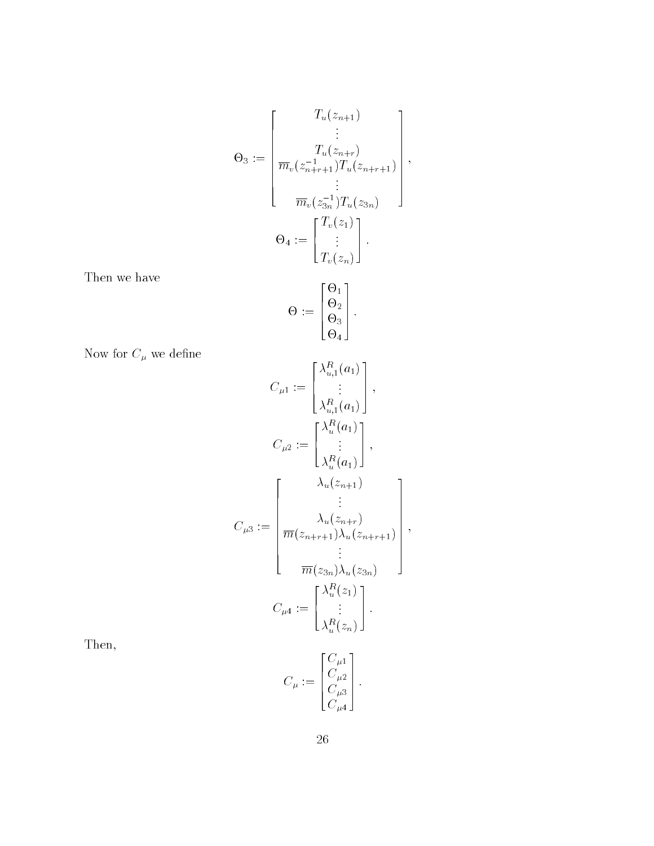$$
\Theta_3 := \begin{bmatrix} T_u(z_{n+1}) \\ \vdots \\ T_u(z_{n+r}) \\ \hline m_v(z_{n+r+1}) T_u(z_{n+r+1}) \\ \vdots \\ \hline m_v(z_{3n}) T_u(z_{3n}) \end{bmatrix},
$$

$$
\Theta_4 := \begin{bmatrix} T_v(z_1) \\ \vdots \\ T_v(z_n) \end{bmatrix}.
$$

Then we have

$$
\Theta := \begin{bmatrix} \Theta_1 \\ \Theta_2 \\ \Theta_3 \\ \Theta_4 \end{bmatrix}.
$$

Now for  $C_\mu$  we define

$$
C_{\mu 1} := \begin{bmatrix} \lambda_{u,1}^R(a_1) \\ \vdots \\ \lambda_{u,1}^R(a_1) \end{bmatrix},
$$
  
\n
$$
C_{\mu 2} := \begin{bmatrix} \lambda_u^R(a_1) \\ \vdots \\ \lambda_u^R(a_1) \end{bmatrix},
$$
  
\n
$$
C_{\mu 3} := \begin{bmatrix} \lambda_u(z_{n+1}) \\ \lambda_u(z_{n+1}) \\ \vdots \\ \overline{m}(z_{n+r+1})\lambda_u(z_{n+r+1}) \\ \vdots \\ \overline{m}(z_{3n})\lambda_u(z_{3n}) \end{bmatrix},
$$
  
\n
$$
C_{\mu 4} := \begin{bmatrix} \lambda_u^R(z_1) \\ \vdots \\ \lambda_u^R(z_n) \end{bmatrix}.
$$

Then,

$$
C_{\mu} := \begin{bmatrix} C_{\mu 1} \\ C_{\mu 2} \\ C_{\mu 3} \\ C_{\mu 4} \end{bmatrix}.
$$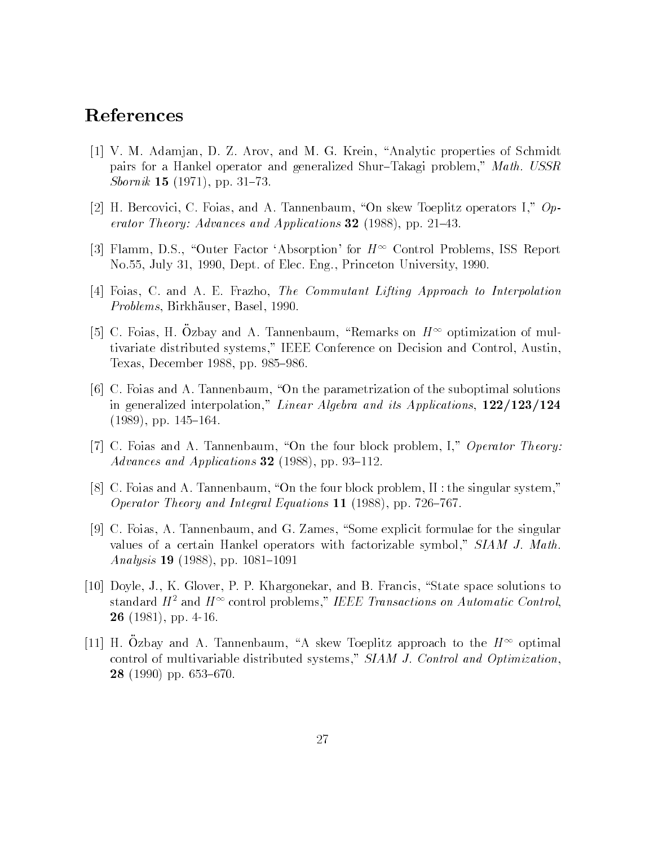# References

- [1] V. M. Adamjan, D. Z. Arov, and M. G. Krein, "Analytic properties of Schmidt pairs for a Hankel operator and generalized Shur-Takagi problem," Math. USSR *Sbornik* 15 (1971), pp. 31–73.
- [2] H. Bercovici, C. Foias, and A. Tannenbaum, "On skew Toeplitz operators I,"  $Op$ erator Theory: Advances and Applications 32 (1988), pp. 21–43.
- [3] Flamm, D.S., "Outer Factor 'Absorption' for  $H^{\infty}$  Control Problems, ISS Report No.55, July 31, 1990, Dept. of Elec. Eng., Princeton University, 1990.
- [4] Foias, C. and A. E. Frazho, The Commutant Lifting Approach to Interpolation Problems, Birkhauser, Basel, 1990.
- $\vert$ ə $\vert$  C. Foias, H. Ozbay and A. Tannenbaum, "Remarks on  $H$ "" optimization of muitivariate distributed systems," IEEE Conference on Decision and Control, Austin, Texas, December 1988, pp. 985–986.
- [6] C. Foias and A. Tannenbaum, "On the parametrization of the suboptimal solutions in generalized interpolation," Linear Algebra and its Applications,  $122/123/124$  $(1989)$ , pp. 145-164.
- [7] C. Foias and A. Tannenbaum, "On the four block problem, I," Operator Theory: Advances and Applications 32 (1988), pp. 93-112.
- [8] C. Foias and A. Tannenbaum, "On the four block problem, II : the singular system," Operator Theory and Integral Equations  $11$  (1988), pp. 726-767.
- [9] C. Foias, A. Tannenbaum, and G. Zames, "Some explicit formulae for the singular values of a certain Hankel operators with factorizable symbol," SIAM J. Math. Analysis 19 (1988), pp. 1081-1091
- [10] Doyle, J., K. Glover, P. P. Khargonekar, and B. Francis, "State space solutions to standard  $H^+$  and  $H^+$  control problems, TEEE Transactions on Automatic Control, 26 (1981), pp. 4-16.
- $[11]$  H. Ozbay and A. Tannenbaum, A skew Toephiz approach to the  $H^{++}$  optimal control of multivariable distributed systems," SIAM J. Control and Optimization.  $28$  (1990) pp. 653–670.